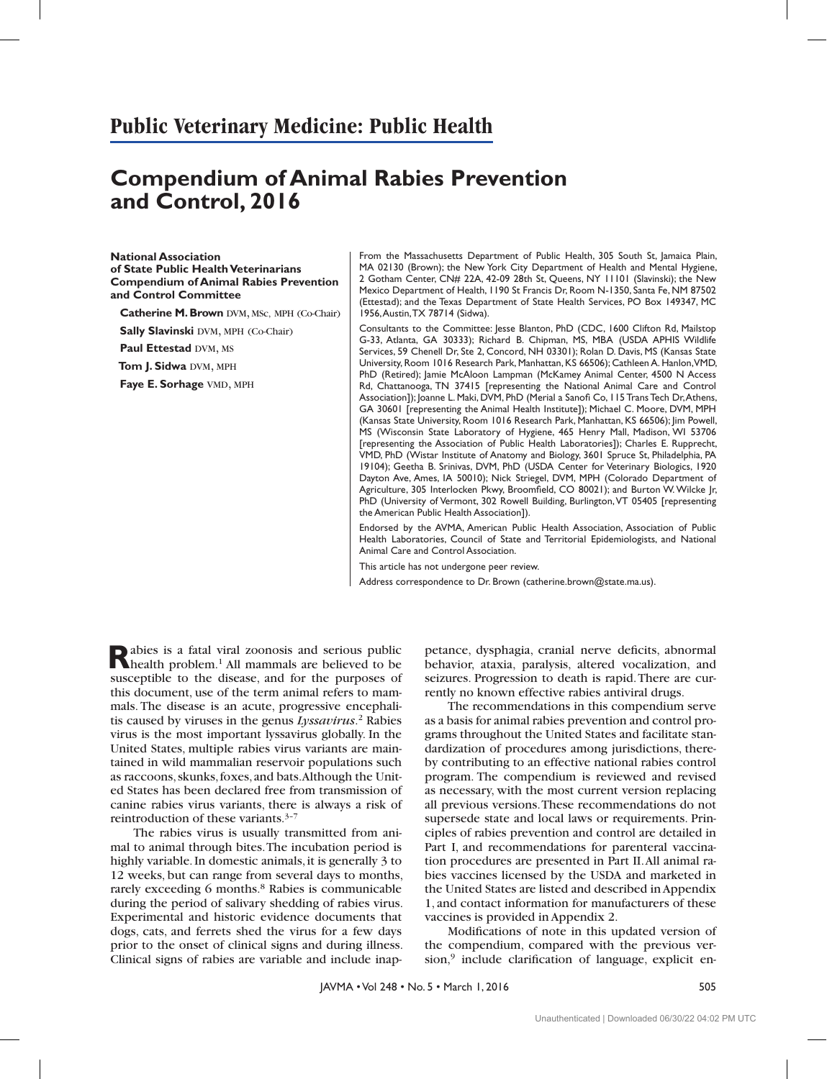# **Public Veterinary Medicine: Public Health**

# **Compendium of Animal Rabies Prevention and Control, 2016**

**National Association of State Public Health Veterinarians Compendium of Animal Rabies Prevention and Control Committee**

**Catherine M. Brown** DVM, MSc, MPH (Co-Chair)

**Sally Slavinski DVM, MPH (Co-Chair)** 

**Paul Ettestad DVM, MS** 

**Tom J. Sidwa DVM, MPH** 

**Faye E. Sorhage VMD, MPH** 

From the Massachusetts Department of Public Health, 305 South St, Jamaica Plain, MA 02130 (Brown); the New York City Department of Health and Mental Hygiene, 2 Gotham Center, CN# 22A, 42-09 28th St, Queens, NY 11101 (Slavinski); the New Mexico Department of Health, 1190 St Francis Dr, Room N-1350, Santa Fe, NM 87502 (Ettestad); and the Texas Department of State Health Services, PO Box 149347, MC 1956, Austin, TX 78714 (Sidwa).

Consultants to the Committee: Jesse Blanton, PhD (CDC, 1600 Clifton Rd, Mailstop G-33, Atlanta, GA 30333); Richard B. Chipman, MS, MBA (USDA APHIS Wildlife Services, 59 Chenell Dr, Ste 2, Concord, NH 03301); Rolan D. Davis, MS (Kansas State University, Room 1016 Research Park, Manhattan, KS 66506); Cathleen A. Hanlon, VMD, PhD (Retired); Jamie McAloon Lampman (McKamey Animal Center, 4500 N Access Rd, Chattanooga, TN 37415 [representing the National Animal Care and Control Association]); Joanne L. Maki, DVM, PhD (Merial a Sanofi Co, 115 Trans Tech Dr, Athens, GA 30601 [representing the Animal Health Institute]); Michael C. Moore, DVM, MPH (Kansas State University, Room 1016 Research Park, Manhattan, KS 66506); Jim Powell, MS (Wisconsin State Laboratory of Hygiene, 465 Henry Mall, Madison, WI 53706 [representing the Association of Public Health Laboratories]); Charles E. Rupprecht, VMD, PhD (Wistar Institute of Anatomy and Biology, 3601 Spruce St, Philadelphia, PA 19104); Geetha B. Srinivas, DVM, PhD (USDA Center for Veterinary Biologics, 1920 Dayton Ave, Ames, IA 50010); Nick Striegel, DVM, MPH (Colorado Department of Agriculture, 305 Interlocken Pkwy, Broomfield, CO 80021); and Burton W. Wilcke Jr, PhD (University of Vermont, 302 Rowell Building, Burlington, VT 05405 [representing the American Public Health Association]).

Endorsed by the AVMA, American Public Health Association, Association of Public Health Laboratories, Council of State and Territorial Epidemiologists, and National Animal Care and Control Association.

This article has not undergone peer review.

Address correspondence to Dr. Brown (catherine.brown@state.ma.us).

Rabies is a fatal viral zoonosis and serious public<br>
health problem.<sup>1</sup> All mammals are believed to be susceptible to the disease, and for the purposes of this document, use of the term animal refers to mammals. The disease is an acute, progressive encephalitis caused by viruses in the genus *Lyssavirus*. 2 Rabies virus is the most important lyssavirus globally. In the United States, multiple rabies virus variants are maintained in wild mammalian reservoir populations such as raccoons, skunks, foxes, and bats. Although the United States has been declared free from transmission of canine rabies virus variants, there is always a risk of reintroduction of these variants.3–7

The rabies virus is usually transmitted from animal to animal through bites. The incubation period is highly variable. In domestic animals, it is generally 3 to 12 weeks, but can range from several days to months, rarely exceeding 6 months.<sup>8</sup> Rabies is communicable during the period of salivary shedding of rabies virus. Experimental and historic evidence documents that dogs, cats, and ferrets shed the virus for a few days prior to the onset of clinical signs and during illness. Clinical signs of rabies are variable and include inap-

petance, dysphagia, cranial nerve deficits, abnormal behavior, ataxia, paralysis, altered vocalization, and seizures. Progression to death is rapid. There are currently no known effective rabies antiviral drugs.

The recommendations in this compendium serve as a basis for animal rabies prevention and control programs throughout the United States and facilitate standardization of procedures among jurisdictions, thereby contributing to an effective national rabies control program. The compendium is reviewed and revised as necessary, with the most current version replacing all previous versions. These recommendations do not supersede state and local laws or requirements. Principles of rabies prevention and control are detailed in Part I, and recommendations for parenteral vaccination procedures are presented in Part II. All animal rabies vaccines licensed by the USDA and marketed in the United States are listed and described in Appendix 1, and contact information for manufacturers of these vaccines is provided in Appendix 2.

Modifications of note in this updated version of the compendium, compared with the previous ver $sion<sup>9</sup>$  include clarification of language, explicit en-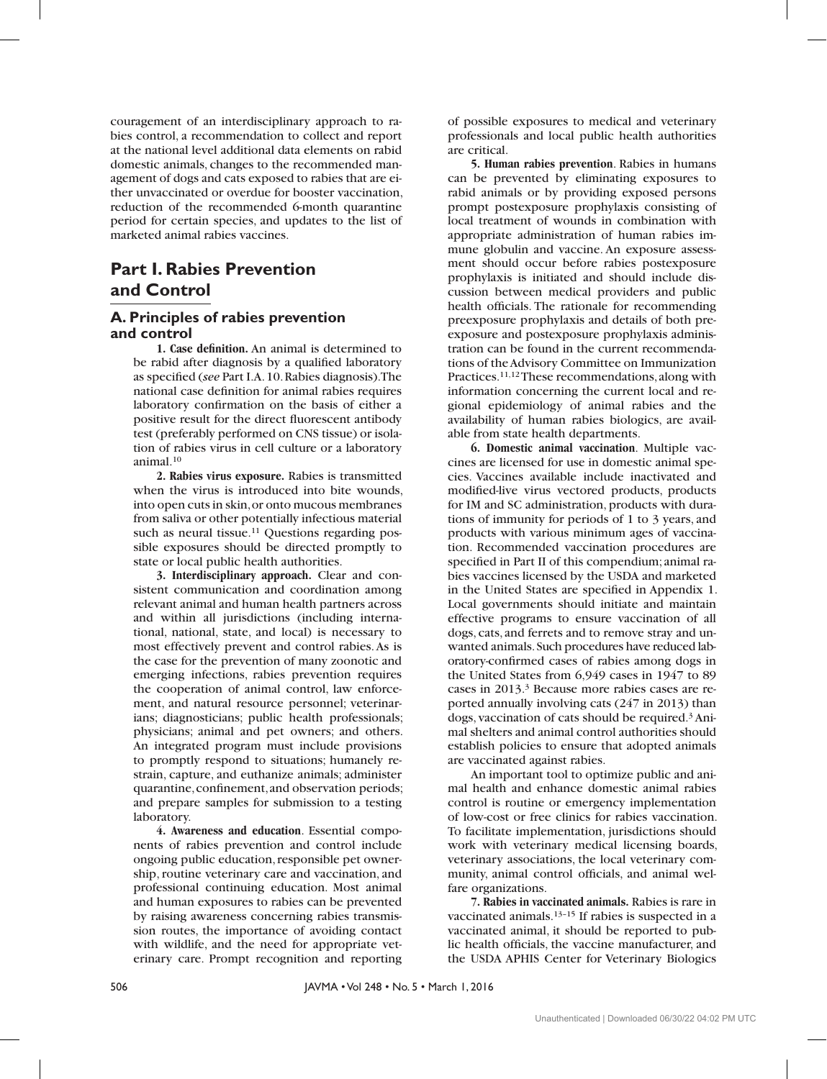couragement of an interdisciplinary approach to rabies control, a recommendation to collect and report at the national level additional data elements on rabid domestic animals, changes to the recommended management of dogs and cats exposed to rabies that are either unvaccinated or overdue for booster vaccination, reduction of the recommended 6-month quarantine period for certain species, and updates to the list of marketed animal rabies vaccines.

# **Part I. Rabies Prevention and Control**

### **A. Principles of rabies prevention and control**

**1. Case definition.** An animal is determined to be rabid after diagnosis by a qualified laboratory as specified (see Part I.A. 10. Rabies diagnosis). The national case definition for animal rabies requires laboratory confirmation on the basis of either a positive result for the direct fluorescent antibody test (preferably performed on CNS tissue) or isolation of rabies virus in cell culture or a laboratory animal.10

**2. Rabies virus exposure.** Rabies is transmitted when the virus is introduced into bite wounds, into open cuts in skin, or onto mucous membranes from saliva or other potentially infectious material such as neural tissue.<sup>11</sup> Questions regarding possible exposures should be directed promptly to state or local public health authorities.

**3. Interdisciplinary approach.** Clear and consistent communication and coordination among relevant animal and human health partners across and within all jurisdictions (including international, national, state, and local) is necessary to most effectively prevent and control rabies. As is the case for the prevention of many zoonotic and emerging infections, rabies prevention requires the cooperation of animal control, law enforcement, and natural resource personnel; veterinarians; diagnosticians; public health professionals; physicians; animal and pet owners; and others. An integrated program must include provisions to promptly respond to situations; humanely restrain, capture, and euthanize animals; administer quarantine, confinement, and observation periods; and prepare samples for submission to a testing laboratory.

**4. Awareness and education**. Essential components of rabies prevention and control include ongoing public education, responsible pet ownership, routine veterinary care and vaccination, and professional continuing education. Most animal and human exposures to rabies can be prevented by raising awareness concerning rabies transmission routes, the importance of avoiding contact with wildlife, and the need for appropriate veterinary care. Prompt recognition and reporting

of possible exposures to medical and veterinary professionals and local public health authorities are critical.

**5. Human rabies prevention**. Rabies in humans can be prevented by eliminating exposures to rabid animals or by providing exposed persons prompt postexposure prophylaxis consisting of local treatment of wounds in combination with appropriate administration of human rabies immune globulin and vaccine. An exposure assessment should occur before rabies postexposure prophylaxis is initiated and should include discussion between medical providers and public health officials. The rationale for recommending preexposure prophylaxis and details of both preexposure and postexposure prophylaxis administration can be found in the current recommendations of the Advisory Committee on Immunization Practices.11,12 These recommendations, along with information concerning the current local and regional epidemiology of animal rabies and the availability of human rabies biologics, are available from state health departments.

**6. Domestic animal vaccination**. Multiple vaccines are licensed for use in domestic animal species. Vaccines available include inactivated and modified-live virus vectored products, products for IM and SC administration, products with durations of immunity for periods of 1 to 3 years, and products with various minimum ages of vaccination. Recommended vaccination procedures are specified in Part II of this compendium; animal rabies vaccines licensed by the USDA and marketed in the United States are specified in Appendix 1. Local governments should initiate and maintain effective programs to ensure vaccination of all dogs, cats, and ferrets and to remove stray and unwanted animals. Such procedures have reduced laboratory-confirmed cases of rabies among dogs in the United States from 6,949 cases in 1947 to 89 cases in 2013.3 Because more rabies cases are reported annually involving cats (247 in 2013) than dogs, vaccination of cats should be required.3 Animal shelters and animal control authorities should establish policies to ensure that adopted animals are vaccinated against rabies.

An important tool to optimize public and animal health and enhance domestic animal rabies control is routine or emergency implementation of low-cost or free clinics for rabies vaccination. To facilitate implementation, jurisdictions should work with veterinary medical licensing boards, veterinary associations, the local veterinary community, animal control officials, and animal welfare organizations.

**7. Rabies in vaccinated animals.** Rabies is rare in vaccinated animals.<sup>13-15</sup> If rabies is suspected in a vaccinated animal, it should be reported to public health officials, the vaccine manufacturer, and the USDA APHIS Center for Veterinary Biologics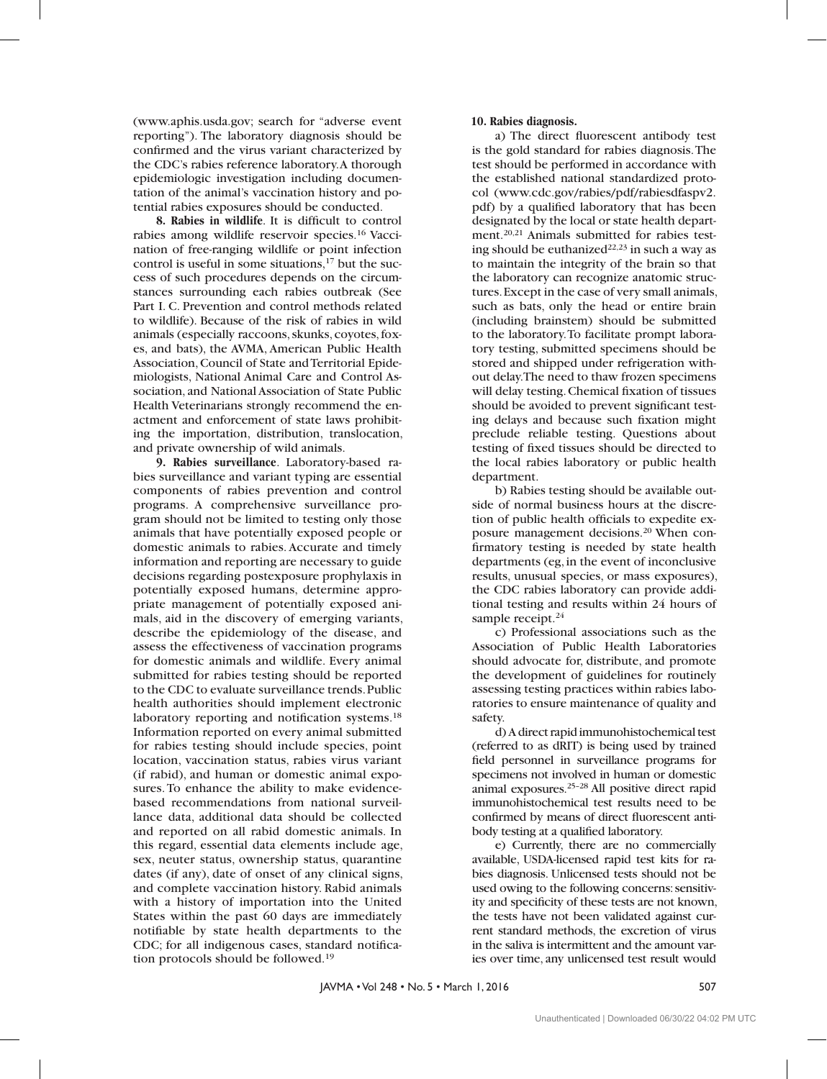(www.aphis.usda.gov; search for "adverse event reporting"). The laboratory diagnosis should be confirmed and the virus variant characterized by the CDC's rabies reference laboratory. A thorough epidemiologic investigation including documentation of the animal's vaccination history and potential rabies exposures should be conducted.

**8. Rabies in wildlife**. It is difficult to control rabies among wildlife reservoir species.16 Vaccination of free-ranging wildlife or point infection control is useful in some situations,<sup>17</sup> but the success of such procedures depends on the circumstances surrounding each rabies outbreak (See Part I. C. Prevention and control methods related to wildlife). Because of the risk of rabies in wild animals (especially raccoons, skunks, coyotes, foxes, and bats), the AVMA, American Public Health Association, Council of State and Territorial Epidemiologists, National Animal Care and Control Association, and National Association of State Public Health Veterinarians strongly recommend the enactment and enforcement of state laws prohibiting the importation, distribution, translocation, and private ownership of wild animals.

**9. Rabies surveillance**. Laboratory-based rabies surveillance and variant typing are essential components of rabies prevention and control programs. A comprehensive surveillance program should not be limited to testing only those animals that have potentially exposed people or domestic animals to rabies. Accurate and timely information and reporting are necessary to guide decisions regarding postexposure prophylaxis in potentially exposed humans, determine appropriate management of potentially exposed animals, aid in the discovery of emerging variants, describe the epidemiology of the disease, and assess the effectiveness of vaccination programs for domestic animals and wildlife. Every animal submitted for rabies testing should be reported to the CDC to evaluate surveillance trends. Public health authorities should implement electronic laboratory reporting and notification systems.<sup>18</sup> Information reported on every animal submitted for rabies testing should include species, point location, vaccination status, rabies virus variant (if rabid), and human or domestic animal exposures. To enhance the ability to make evidencebased recommendations from national surveillance data, additional data should be collected and reported on all rabid domestic animals. In this regard, essential data elements include age, sex, neuter status, ownership status, quarantine dates (if any), date of onset of any clinical signs, and complete vaccination history. Rabid animals with a history of importation into the United States within the past 60 days are immediately notifiable by state health departments to the CDC; for all indigenous cases, standard notification protocols should be followed.19

### **10. Rabies diagnosis.**

a) The direct fluorescent antibody test is the gold standard for rabies diagnosis. The test should be performed in accordance with the established national standardized protocol (www.cdc.gov/rabies/pdf/rabiesdfaspv2. pdf) by a qualified laboratory that has been designated by the local or state health department.20,21 Animals submitted for rabies testing should be euthanized<sup>22,23</sup> in such a way as to maintain the integrity of the brain so that the laboratory can recognize anatomic structures. Except in the case of very small animals, such as bats, only the head or entire brain (including brainstem) should be submitted to the laboratory. To facilitate prompt laboratory testing, submitted specimens should be stored and shipped under refrigeration without delay. The need to thaw frozen specimens will delay testing. Chemical fixation of tissues should be avoided to prevent significant testing delays and because such fixation might preclude reliable testing. Questions about testing of fixed tissues should be directed to the local rabies laboratory or public health department.

b) Rabies testing should be available outside of normal business hours at the discretion of public health officials to expedite exposure management decisions.20 When confirmatory testing is needed by state health departments (eg, in the event of inconclusive results, unusual species, or mass exposures), the CDC rabies laboratory can provide additional testing and results within 24 hours of sample receipt.<sup>24</sup>

c) Professional associations such as the Association of Public Health Laboratories should advocate for, distribute, and promote the development of guidelines for routinely assessing testing practices within rabies laboratories to ensure maintenance of quality and safety.

d) A direct rapid immunohistochemical test (referred to as dRIT) is being used by trained field personnel in surveillance programs for specimens not involved in human or domestic animal exposures.25–28 All positive direct rapid immunohistochemical test results need to be confirmed by means of direct fluorescent antibody testing at a qualified laboratory.

e) Currently, there are no commercially available, USDA-licensed rapid test kits for rabies diagnosis. Unlicensed tests should not be used owing to the following concerns: sensitivity and specificity of these tests are not known, the tests have not been validated against current standard methods, the excretion of virus in the saliva is intermittent and the amount varies over time, any unlicensed test result would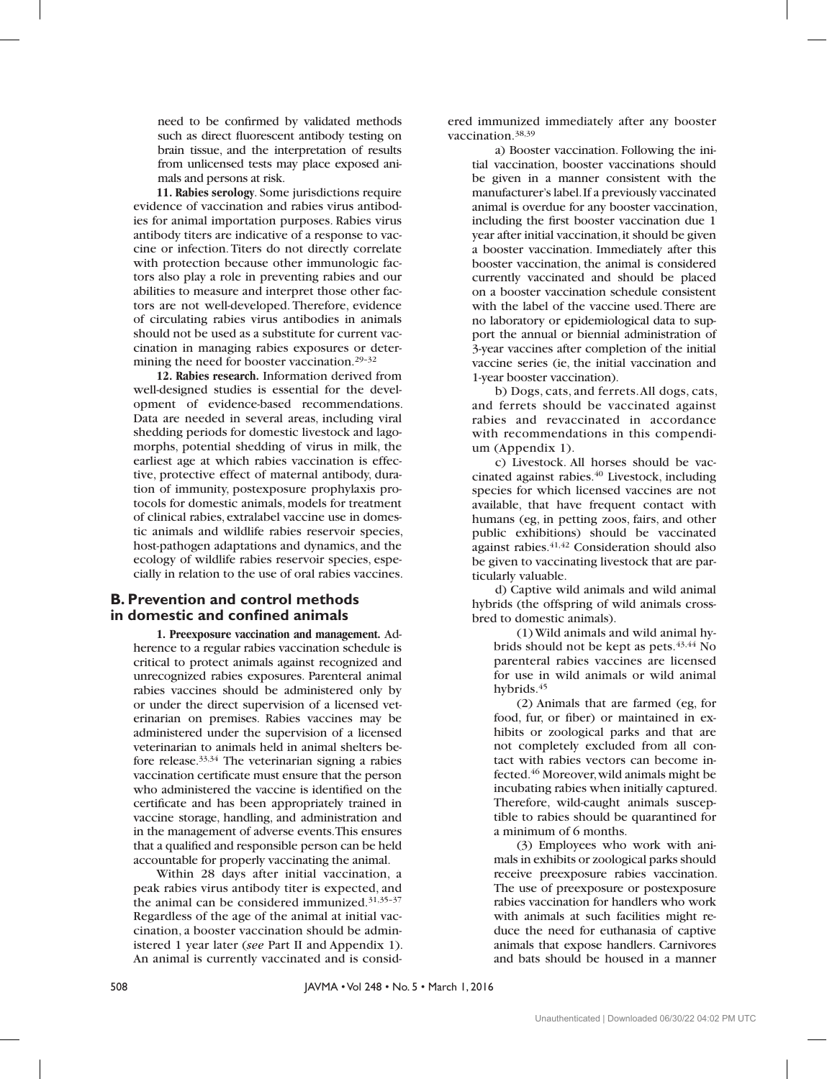need to be confirmed by validated methods such as direct fluorescent antibody testing on brain tissue, and the interpretation of results from unlicensed tests may place exposed animals and persons at risk.

**11. Rabies serology**. Some jurisdictions require evidence of vaccination and rabies virus antibodies for animal importation purposes. Rabies virus antibody titers are indicative of a response to vaccine or infection. Titers do not directly correlate with protection because other immunologic factors also play a role in preventing rabies and our abilities to measure and interpret those other factors are not well-developed. Therefore, evidence of circulating rabies virus antibodies in animals should not be used as a substitute for current vaccination in managing rabies exposures or determining the need for booster vaccination.29–32

**12. Rabies research.** Information derived from well-designed studies is essential for the development of evidence-based recommendations. Data are needed in several areas, including viral shedding periods for domestic livestock and lagomorphs, potential shedding of virus in milk, the earliest age at which rabies vaccination is effective, protective effect of maternal antibody, duration of immunity, postexposure prophylaxis protocols for domestic animals, models for treatment of clinical rabies, extralabel vaccine use in domestic animals and wildlife rabies reservoir species, host-pathogen adaptations and dynamics, and the ecology of wildlife rabies reservoir species, especially in relation to the use of oral rabies vaccines.

### **B. Prevention and control methods in domestic and confined animals**

**1. Preexposure vaccination and management.** Adherence to a regular rabies vaccination schedule is critical to protect animals against recognized and unrecognized rabies exposures. Parenteral animal rabies vaccines should be administered only by or under the direct supervision of a licensed veterinarian on premises. Rabies vaccines may be administered under the supervision of a licensed veterinarian to animals held in animal shelters before release.33,34 The veterinarian signing a rabies vaccination certificate must ensure that the person who administered the vaccine is identified on the certificate and has been appropriately trained in vaccine storage, handling, and administration and in the management of adverse events. This ensures that a qualified and responsible person can be held accountable for properly vaccinating the animal.

Within 28 days after initial vaccination, a peak rabies virus antibody titer is expected, and the animal can be considered immunized.31,35–37 Regardless of the age of the animal at initial vaccination, a booster vaccination should be administered 1 year later (*see* Part II and Appendix 1). An animal is currently vaccinated and is considered immunized immediately after any booster vaccination.38,39

a) Booster vaccination. Following the initial vaccination, booster vaccinations should be given in a manner consistent with the manufacturer's label. If a previously vaccinated animal is overdue for any booster vaccination, including the first booster vaccination due 1 year after initial vaccination, it should be given a booster vaccination. Immediately after this booster vaccination, the animal is considered currently vaccinated and should be placed on a booster vaccination schedule consistent with the label of the vaccine used. There are no laboratory or epidemiological data to support the annual or biennial administration of 3-year vaccines after completion of the initial vaccine series (ie, the initial vaccination and 1-year booster vaccination).

b) Dogs, cats, and ferrets. All dogs, cats, and ferrets should be vaccinated against rabies and revaccinated in accordance with recommendations in this compendium (Appendix 1).

c) Livestock. All horses should be vaccinated against rabies.<sup>40</sup> Livestock, including species for which licensed vaccines are not available, that have frequent contact with humans (eg, in petting zoos, fairs, and other public exhibitions) should be vaccinated against rabies.41,42 Consideration should also be given to vaccinating livestock that are particularly valuable.

d) Captive wild animals and wild animal hybrids (the offspring of wild animals crossbred to domestic animals).

(1) Wild animals and wild animal hybrids should not be kept as pets. $43,44$  No parenteral rabies vaccines are licensed for use in wild animals or wild animal hybrids.<sup>45</sup>

(2) Animals that are farmed (eg, for food, fur, or fiber) or maintained in exhibits or zoological parks and that are not completely excluded from all contact with rabies vectors can become infected.46 Moreover, wild animals might be incubating rabies when initially captured. Therefore, wild-caught animals susceptible to rabies should be quarantined for a minimum of 6 months.

(3) Employees who work with animals in exhibits or zoological parks should receive preexposure rabies vaccination. The use of preexposure or postexposure rabies vaccination for handlers who work with animals at such facilities might reduce the need for euthanasia of captive animals that expose handlers. Carnivores and bats should be housed in a manner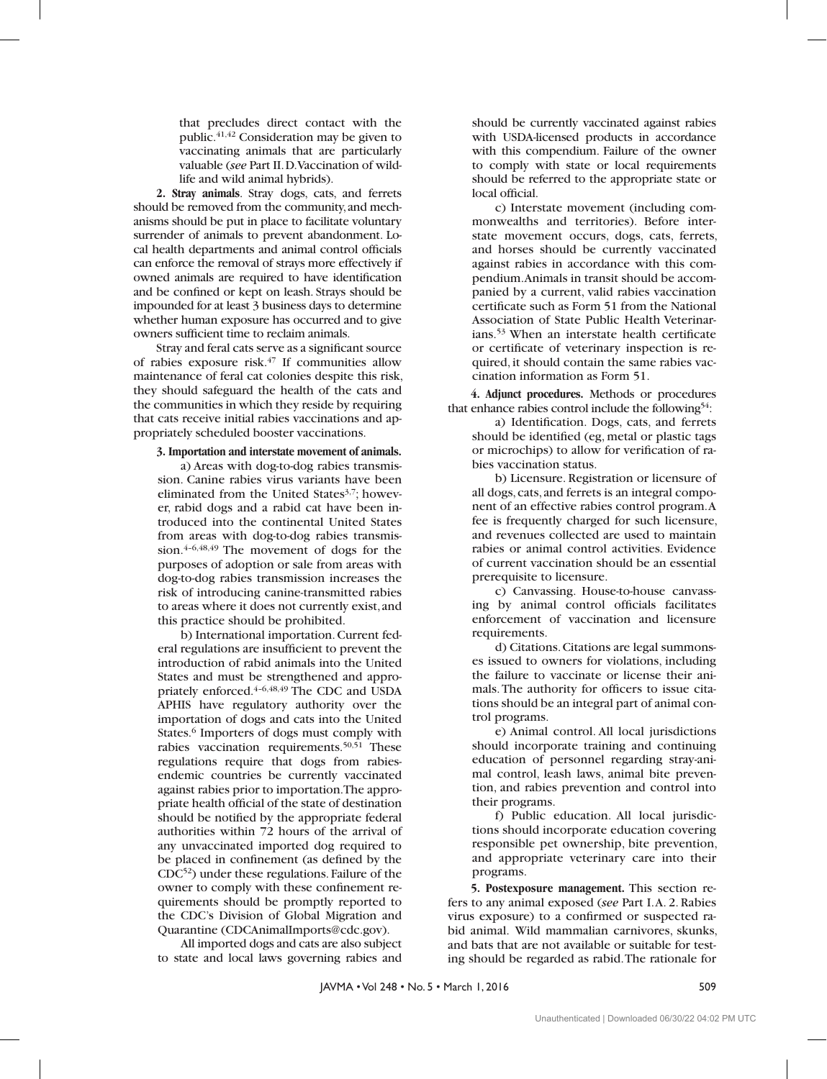that precludes direct contact with the public.41,42 Consideration may be given to vaccinating animals that are particularly valuable (*see* Part II. D. Vaccination of wildlife and wild animal hybrids).

**2. Stray animals**. Stray dogs, cats, and ferrets should be removed from the community, and mechanisms should be put in place to facilitate voluntary surrender of animals to prevent abandonment. Local health departments and animal control officials can enforce the removal of strays more effectively if owned animals are required to have identification and be confined or kept on leash. Strays should be impounded for at least 3 business days to determine whether human exposure has occurred and to give owners sufficient time to reclaim animals.

Stray and feral cats serve as a significant source of rabies exposure risk. $47$  If communities allow maintenance of feral cat colonies despite this risk, they should safeguard the health of the cats and the communities in which they reside by requiring that cats receive initial rabies vaccinations and appropriately scheduled booster vaccinations.

#### **3. Importation and interstate movement of animals.**

a) Areas with dog-to-dog rabies transmission. Canine rabies virus variants have been eliminated from the United States<sup>3,7</sup>; however, rabid dogs and a rabid cat have been introduced into the continental United States from areas with dog-to-dog rabies transmission.4–6,48,49 The movement of dogs for the purposes of adoption or sale from areas with dog-to-dog rabies transmission increases the risk of introducing canine-transmitted rabies to areas where it does not currently exist, and this practice should be prohibited.

b) International importation. Current federal regulations are insufficient to prevent the introduction of rabid animals into the United States and must be strengthened and appropriately enforced.4–6,48,49 The CDC and USDA APHIS have regulatory authority over the importation of dogs and cats into the United States.<sup>6</sup> Importers of dogs must comply with rabies vaccination requirements.<sup>50,51</sup> These regulations require that dogs from rabiesendemic countries be currently vaccinated against rabies prior to importation. The appropriate health official of the state of destination should be notified by the appropriate federal authorities within 72 hours of the arrival of any unvaccinated imported dog required to be placed in confinement (as defined by the CDC52) under these regulations. Failure of the owner to comply with these confinement requirements should be promptly reported to the CDC's Division of Global Migration and Quarantine (CDCAnimalImports@cdc.gov).

All imported dogs and cats are also subject to state and local laws governing rabies and

should be currently vaccinated against rabies with USDA-licensed products in accordance with this compendium. Failure of the owner to comply with state or local requirements should be referred to the appropriate state or local official.

c) Interstate movement (including commonwealths and territories). Before interstate movement occurs, dogs, cats, ferrets, and horses should be currently vaccinated against rabies in accordance with this compendium. Animals in transit should be accompanied by a current, valid rabies vaccination certificate such as Form 51 from the National Association of State Public Health Veterinarians.53 When an interstate health certificate or certificate of veterinary inspection is required, it should contain the same rabies vaccination information as Form 51.

**4. Adjunct procedures.** Methods or procedures that enhance rabies control include the following<sup>54</sup>:

a) Identification. Dogs, cats, and ferrets should be identified (eg, metal or plastic tags or microchips) to allow for verification of rabies vaccination status.

b) Licensure. Registration or licensure of all dogs, cats, and ferrets is an integral component of an effective rabies control program. A fee is frequently charged for such licensure, and revenues collected are used to maintain rabies or animal control activities. Evidence of current vaccination should be an essential prerequisite to licensure.

c) Canvassing. House-to-house canvassing by animal control officials facilitates enforcement of vaccination and licensure requirements.

d) Citations. Citations are legal summonses issued to owners for violations, including the failure to vaccinate or license their animals. The authority for officers to issue citations should be an integral part of animal control programs.

e) Animal control. All local jurisdictions should incorporate training and continuing education of personnel regarding stray-animal control, leash laws, animal bite prevention, and rabies prevention and control into their programs.

f) Public education. All local jurisdictions should incorporate education covering responsible pet ownership, bite prevention, and appropriate veterinary care into their programs.

**5. Postexposure management.** This section refers to any animal exposed (*see* Part I. A. 2. Rabies virus exposure) to a confirmed or suspected rabid animal. Wild mammalian carnivores, skunks, and bats that are not available or suitable for testing should be regarded as rabid. The rationale for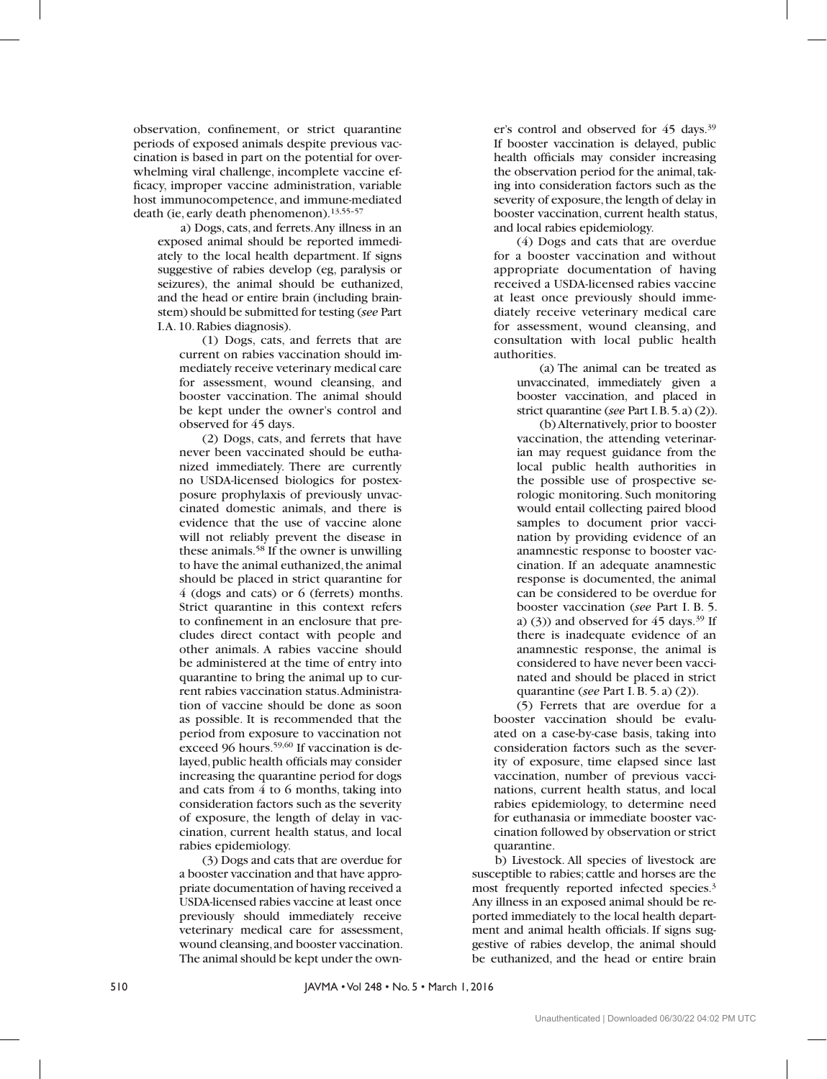observation, confinement, or strict quarantine periods of exposed animals despite previous vaccination is based in part on the potential for overwhelming viral challenge, incomplete vaccine efficacy, improper vaccine administration, variable host immunocompetence, and immune-mediated death (ie, early death phenomenon).13,55–57

a) Dogs, cats, and ferrets. Any illness in an exposed animal should be reported immediately to the local health department. If signs suggestive of rabies develop (eg, paralysis or seizures), the animal should be euthanized, and the head or entire brain (including brainstem) should be submitted for testing (*see* Part I. A. 10. Rabies diagnosis).

(1) Dogs, cats, and ferrets that are current on rabies vaccination should immediately receive veterinary medical care for assessment, wound cleansing, and booster vaccination. The animal should be kept under the owner's control and observed for 45 days.

(2) Dogs, cats, and ferrets that have never been vaccinated should be euthanized immediately. There are currently no USDA-licensed biologics for postexposure prophylaxis of previously unvaccinated domestic animals, and there is evidence that the use of vaccine alone will not reliably prevent the disease in these animals.58 If the owner is unwilling to have the animal euthanized, the animal should be placed in strict quarantine for 4 (dogs and cats) or 6 (ferrets) months. Strict quarantine in this context refers to confinement in an enclosure that precludes direct contact with people and other animals. A rabies vaccine should be administered at the time of entry into quarantine to bring the animal up to current rabies vaccination status. Administration of vaccine should be done as soon as possible. It is recommended that the period from exposure to vaccination not exceed 96 hours.<sup>59,60</sup> If vaccination is delayed, public health officials may consider increasing the quarantine period for dogs and cats from 4 to 6 months, taking into consideration factors such as the severity of exposure, the length of delay in vaccination, current health status, and local rabies epidemiology.

(3) Dogs and cats that are overdue for a booster vaccination and that have appropriate documentation of having received a USDA-licensed rabies vaccine at least once previously should immediately receive veterinary medical care for assessment, wound cleansing, and booster vaccination. The animal should be kept under the owner's control and observed for 45 days.39 If booster vaccination is delayed, public health officials may consider increasing the observation period for the animal, taking into consideration factors such as the severity of exposure, the length of delay in booster vaccination, current health status, and local rabies epidemiology.

(4) Dogs and cats that are overdue for a booster vaccination and without appropriate documentation of having received a USDA-licensed rabies vaccine at least once previously should immediately receive veterinary medical care for assessment, wound cleansing, and consultation with local public health authorities.

(a) The animal can be treated as unvaccinated, immediately given a booster vaccination, and placed in strict quarantine (*see* Part I. B. 5. a) (2)).

(b) Alternatively, prior to booster vaccination, the attending veterinarian may request guidance from the local public health authorities in the possible use of prospective serologic monitoring. Such monitoring would entail collecting paired blood samples to document prior vaccination by providing evidence of an anamnestic response to booster vaccination. If an adequate anamnestic response is documented, the animal can be considered to be overdue for booster vaccination (*see* Part I. B. 5. a) (3)) and observed for  $45 \text{ days}$ .<sup>39</sup> If there is inadequate evidence of an anamnestic response, the animal is considered to have never been vaccinated and should be placed in strict quarantine (*see* Part I. B. 5. a) (2)).

(5) Ferrets that are overdue for a booster vaccination should be evaluated on a case-by-case basis, taking into consideration factors such as the severity of exposure, time elapsed since last vaccination, number of previous vaccinations, current health status, and local rabies epidemiology, to determine need for euthanasia or immediate booster vaccination followed by observation or strict quarantine.

b) Livestock. All species of livestock are susceptible to rabies; cattle and horses are the most frequently reported infected species.3 Any illness in an exposed animal should be reported immediately to the local health department and animal health officials. If signs suggestive of rabies develop, the animal should be euthanized, and the head or entire brain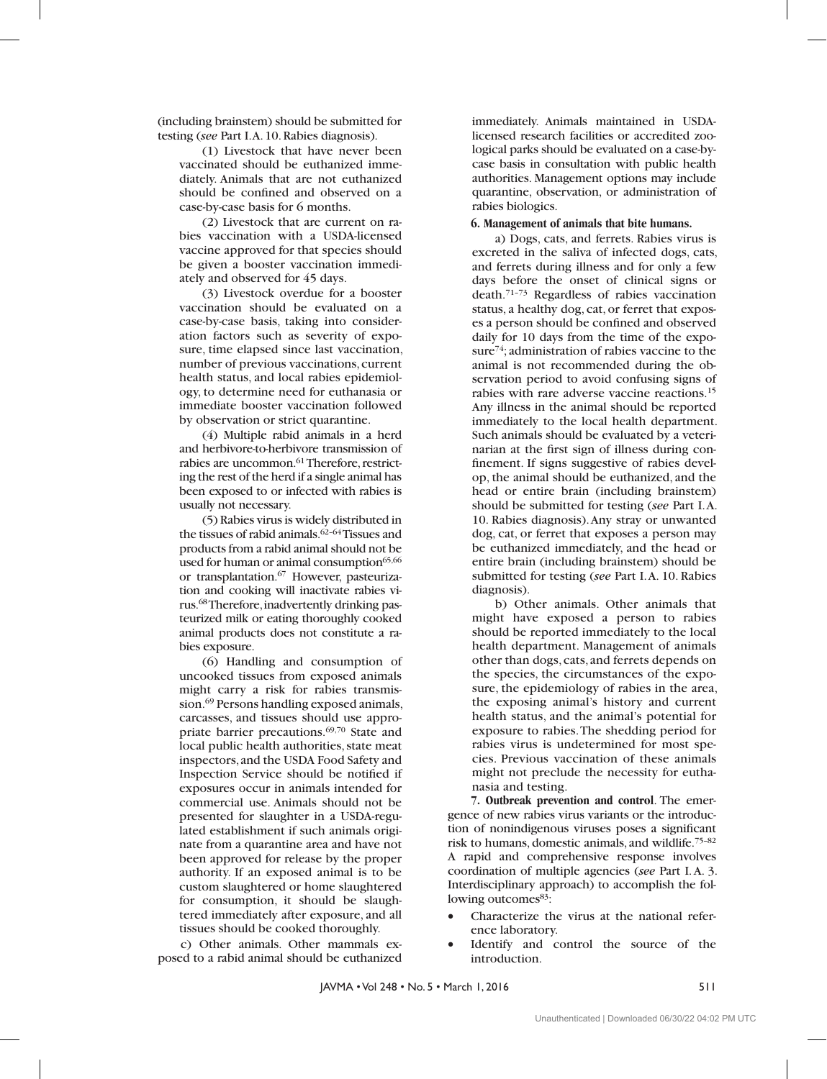(including brainstem) should be submitted for testing (*see Part I.A. 10. Rabies diagnosis*).

(1) Livestock that have never been vaccinated should be euthanized immediately. Animals that are not euthanized should be confined and observed on a case-by-case basis for 6 months.

(2) Livestock that are current on rabies vaccination with a USDA-licensed vaccine approved for that species should be given a booster vaccination immediately and observed for 45 days.

(3) Livestock overdue for a booster vaccination should be evaluated on a case-by-case basis, taking into consideration factors such as severity of exposure, time elapsed since last vaccination, number of previous vaccinations, current health status, and local rabies epidemiology, to determine need for euthanasia or immediate booster vaccination followed by observation or strict quarantine.

(4) Multiple rabid animals in a herd and herbivore-to-herbivore transmission of rabies are uncommon.<sup>61</sup> Therefore, restricting the rest of the herd if a single animal has been exposed to or infected with rabies is usually not necessary.

(5) Rabies virus is widely distributed in the tissues of rabid animals. $62-64$  Tissues and products from a rabid animal should not be used for human or animal consumption<sup>65,66</sup> or transplantation.67 However, pasteurization and cooking will inactivate rabies virus.68 Therefore, inadvertently drinking pasteurized milk or eating thoroughly cooked animal products does not constitute a rabies exposure.

(6) Handling and consumption of uncooked tissues from exposed animals might carry a risk for rabies transmission.69 Persons handling exposed animals, carcasses, and tissues should use appropriate barrier precautions.<sup>69,70</sup> State and local public health authorities, state meat inspectors, and the USDA Food Safety and Inspection Service should be notified if exposures occur in animals intended for commercial use. Animals should not be presented for slaughter in a USDA-regulated establishment if such animals originate from a quarantine area and have not been approved for release by the proper authority. If an exposed animal is to be custom slaughtered or home slaughtered for consumption, it should be slaughtered immediately after exposure, and all tissues should be cooked thoroughly.

c) Other animals. Other mammals exposed to a rabid animal should be euthanized

immediately. Animals maintained in USDAlicensed research facilities or accredited zoological parks should be evaluated on a case-bycase basis in consultation with public health authorities. Management options may include quarantine, observation, or administration of rabies biologics.

#### **6. Management of animals that bite humans.**

a) Dogs, cats, and ferrets. Rabies virus is excreted in the saliva of infected dogs, cats, and ferrets during illness and for only a few days before the onset of clinical signs or death.71–73 Regardless of rabies vaccination status, a healthy dog, cat, or ferret that exposes a person should be confined and observed daily for 10 days from the time of the exposure<sup>74</sup>; administration of rabies vaccine to the animal is not recommended during the observation period to avoid confusing signs of rabies with rare adverse vaccine reactions.15 Any illness in the animal should be reported immediately to the local health department. Such animals should be evaluated by a veterinarian at the first sign of illness during confinement. If signs suggestive of rabies develop, the animal should be euthanized, and the head or entire brain (including brainstem) should be submitted for testing (*see* Part I. A. 10. Rabies diagnosis). Any stray or unwanted dog, cat, or ferret that exposes a person may be euthanized immediately, and the head or entire brain (including brainstem) should be submitted for testing (*see* Part I. A. 10. Rabies diagnosis).

b) Other animals. Other animals that might have exposed a person to rabies should be reported immediately to the local health department. Management of animals other than dogs, cats, and ferrets depends on the species, the circumstances of the exposure, the epidemiology of rabies in the area, the exposing animal's history and current health status, and the animal's potential for exposure to rabies. The shedding period for rabies virus is undetermined for most species. Previous vaccination of these animals might not preclude the necessity for euthanasia and testing.

**7. Outbreak prevention and control**. The emergence of new rabies virus variants or the introduction of nonindigenous viruses poses a significant risk to humans, domestic animals, and wildlife.75–82 A rapid and comprehensive response involves coordination of multiple agencies (*see* Part I. A. 3. Interdisciplinary approach) to accomplish the following outcomes<sup>83</sup>:

- Characterize the virus at the national reference laboratory.
- Identify and control the source of the introduction.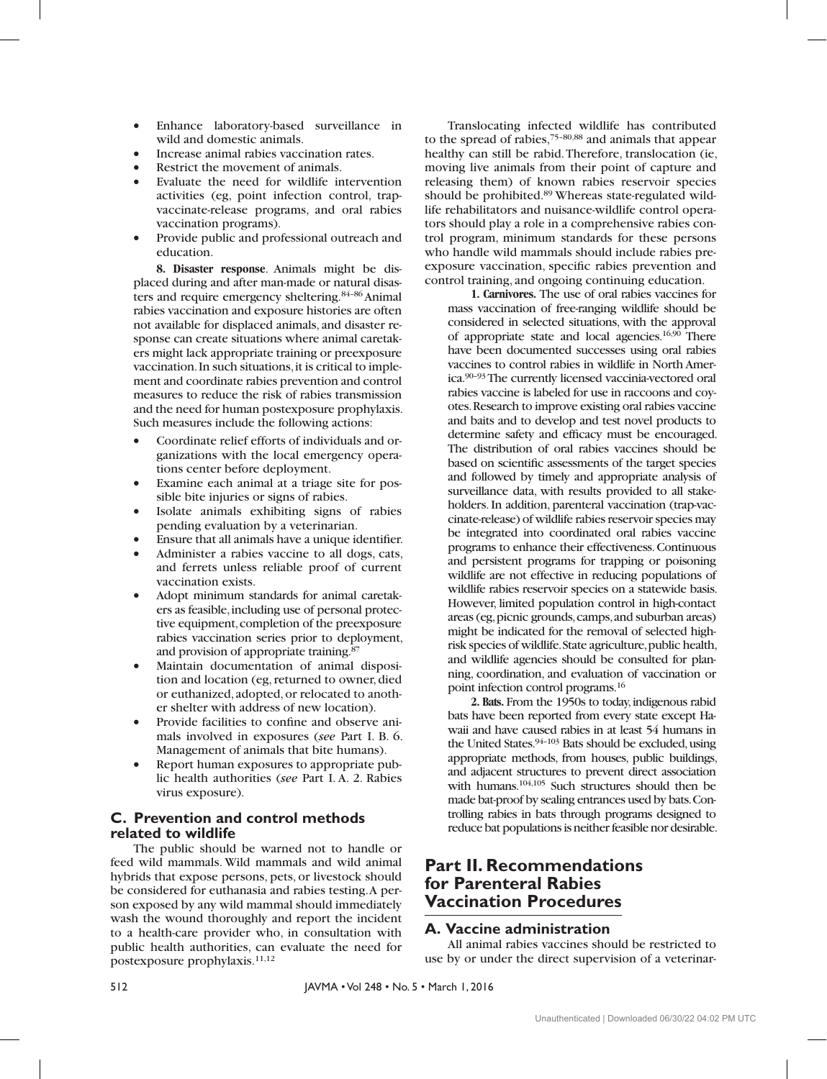- • Enhance laboratory-based surveillance in wild and domestic animals.
- Increase animal rabies vaccination rates.
- Restrict the movement of animals.
- Evaluate the need for wildlife intervention activities (eg, point infection control, trapvaccinate-release programs, and oral rabies vaccination programs).
- Provide public and professional outreach and education.

**8. Disaster response**. Animals might be displaced during and after man-made or natural disasters and require emergency sheltering.84–86 Animal rabies vaccination and exposure histories are often not available for displaced animals, and disaster response can create situations where animal caretakers might lack appropriate training or preexposure vaccination. In such situations, it is critical to implement and coordinate rabies prevention and control measures to reduce the risk of rabies transmission and the need for human postexposure prophylaxis. Such measures include the following actions:

- Coordinate relief efforts of individuals and organizations with the local emergency operations center before deployment.
- • Examine each animal at a triage site for possible bite injuries or signs of rabies.
- Isolate animals exhibiting signs of rabies pending evaluation by a veterinarian.
- Ensure that all animals have a unique identifier.
- Administer a rabies vaccine to all dogs, cats, and ferrets unless reliable proof of current vaccination exists.
- Adopt minimum standards for animal caretakers as feasible, including use of personal protective equipment, completion of the preexposure rabies vaccination series prior to deployment, and provision of appropriate training.87
- Maintain documentation of animal disposition and location (eg, returned to owner, died or euthanized, adopted, or relocated to another shelter with address of new location).
- Provide facilities to confine and observe animals involved in exposures (*see* Part I. B. 6. Management of animals that bite humans).
- Report human exposures to appropriate public health authorities (*see* Part I. A. 2. Rabies virus exposure).

## **C. Prevention and control methods related to wildlife**

The public should be warned not to handle or feed wild mammals. Wild mammals and wild animal hybrids that expose persons, pets, or livestock should be considered for euthanasia and rabies testing. A person exposed by any wild mammal should immediately wash the wound thoroughly and report the incident to a health-care provider who, in consultation with public health authorities, can evaluate the need for postexposure prophylaxis.11,12

Translocating infected wildlife has contributed to the spread of rabies,75–80,88 and animals that appear healthy can still be rabid. Therefore, translocation (ie, moving live animals from their point of capture and releasing them) of known rabies reservoir species should be prohibited.89 Whereas state-regulated wildlife rehabilitators and nuisance-wildlife control operators should play a role in a comprehensive rabies control program, minimum standards for these persons who handle wild mammals should include rabies preexposure vaccination, specific rabies prevention and control training, and ongoing continuing education.

**1. Carnivores.** The use of oral rabies vaccines for mass vaccination of free-ranging wildlife should be considered in selected situations, with the approval of appropriate state and local agencies.<sup>16,90</sup> There have been documented successes using oral rabies vaccines to control rabies in wildlife in North America.90–93 The currently licensed vaccinia-vectored oral rabies vaccine is labeled for use in raccoons and coyotes. Research to improve existing oral rabies vaccine and baits and to develop and test novel products to determine safety and efficacy must be encouraged. The distribution of oral rabies vaccines should be based on scientific assessments of the target species and followed by timely and appropriate analysis of surveillance data, with results provided to all stakeholders. In addition, parenteral vaccination (trap-vaccinate-release) of wildlife rabies reservoir species may be integrated into coordinated oral rabies vaccine programs to enhance their effectiveness. Continuous and persistent programs for trapping or poisoning wildlife are not effective in reducing populations of wildlife rabies reservoir species on a statewide basis. However, limited population control in high-contact areas (eg, picnic grounds, camps, and suburban areas) might be indicated for the removal of selected highrisk species of wildlife. State agriculture, public health, and wildlife agencies should be consulted for planning, coordination, and evaluation of vaccination or point infection control programs.16

**2. Bats.** From the 1950s to today, indigenous rabid bats have been reported from every state except Hawaii and have caused rabies in at least 54 humans in the United States. $94-103$  Bats should be excluded, using appropriate methods, from houses, public buildings, and adjacent structures to prevent direct association with humans.<sup>104,105</sup> Such structures should then be made bat-proof by sealing entrances used by bats. Controlling rabies in bats through programs designed to reduce bat populations is neither feasible nor desirable.

## **Part II. Recommendations for Parenteral Rabies Vaccination Procedures**

## **A. Vaccine administration**

All animal rabies vaccines should be restricted to use by or under the direct supervision of a veterinar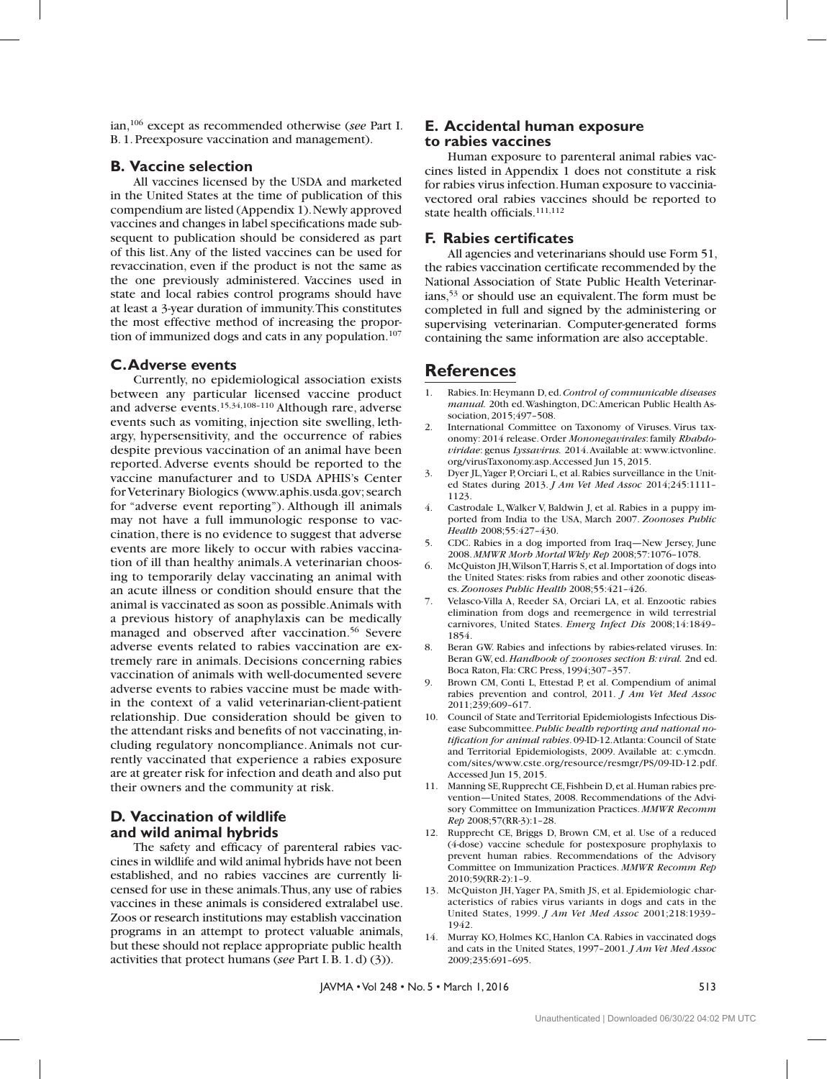ian,106 except as recommended otherwise (*see* Part I. B. 1. Preexposure vaccination and management).

### **B. Vaccine selection**

All vaccines licensed by the USDA and marketed in the United States at the time of publication of this compendium are listed (Appendix 1). Newly approved vaccines and changes in label specifications made subsequent to publication should be considered as part of this list. Any of the listed vaccines can be used for revaccination, even if the product is not the same as the one previously administered. Vaccines used in state and local rabies control programs should have at least a 3-year duration of immunity. This constitutes the most effective method of increasing the proportion of immunized dogs and cats in any population.<sup>107</sup>

### **C. Adverse events**

Currently, no epidemiological association exists between any particular licensed vaccine product and adverse events.15,34,108–110 Although rare, adverse events such as vomiting, injection site swelling, lethargy, hypersensitivity, and the occurrence of rabies despite previous vaccination of an animal have been reported. Adverse events should be reported to the vaccine manufacturer and to USDA APHIS's Center for Veterinary Biologics (www.aphis.usda.gov; search for "adverse event reporting"). Although ill animals may not have a full immunologic response to vaccination, there is no evidence to suggest that adverse events are more likely to occur with rabies vaccination of ill than healthy animals. A veterinarian choosing to temporarily delay vaccinating an animal with an acute illness or condition should ensure that the animal is vaccinated as soon as possible. Animals with a previous history of anaphylaxis can be medically managed and observed after vaccination.<sup>56</sup> Severe adverse events related to rabies vaccination are extremely rare in animals. Decisions concerning rabies vaccination of animals with well-documented severe adverse events to rabies vaccine must be made within the context of a valid veterinarian-client-patient relationship. Due consideration should be given to the attendant risks and benefits of not vaccinating, including regulatory noncompliance. Animals not currently vaccinated that experience a rabies exposure are at greater risk for infection and death and also put their owners and the community at risk.

### **D. Vaccination of wildlife and wild animal hybrids**

The safety and efficacy of parenteral rabies vaccines in wildlife and wild animal hybrids have not been established, and no rabies vaccines are currently licensed for use in these animals. Thus, any use of rabies vaccines in these animals is considered extralabel use. Zoos or research institutions may establish vaccination programs in an attempt to protect valuable animals, but these should not replace appropriate public health activities that protect humans (*see* Part I. B. 1. d) (3)).

### **E. Accidental human exposure to rabies vaccines**

Human exposure to parenteral animal rabies vaccines listed in Appendix 1 does not constitute a risk for rabies virus infection. Human exposure to vacciniavectored oral rabies vaccines should be reported to state health officials.111,112

### **F. Rabies certificates**

All agencies and veterinarians should use Form 51, the rabies vaccination certificate recommended by the National Association of State Public Health Veterinarians,53 or should use an equivalent. The form must be completed in full and signed by the administering or supervising veterinarian. Computer-generated forms containing the same information are also acceptable.

## **References**

- 1. Rabies. In: Heymann D, ed. *Control of communicable diseases manual.* 20th ed. Washington, DC: American Public Health Association, 2015;497–508.
- 2. International Committee on Taxonomy of Viruses. Virus taxonomy: 2014 release. Order *Mononegavirales*: family *Rhabdoviridae*: genus *Lyssavirus.* 2014. Available at: www.ictvonline. org/virusTaxonomy.asp. Accessed Jun 15, 2015.
- 3. Dyer JL, Yager P, Orciari L, et al. Rabies surveillance in the United States during 2013. *J Am Vet Med Assoc* 2014;245:1111– 1123.
- 4. Castrodale L, Walker V, Baldwin J, et al. Rabies in a puppy imported from India to the USA, March 2007. *Zoonoses Public Health* 2008;55:427–430.
- 5. CDC. Rabies in a dog imported from Iraq—New Jersey, June 2008. *MMWR Morb Mortal Wkly Rep* 2008;57:1076–1078.
- 6. McQuiston JH, Wilson T, Harris S, et al. Importation of dogs into the United States: risks from rabies and other zoonotic diseases. *Zoonoses Public Health* 2008;55:421–426.
- 7. Velasco-Villa A, Reeder SA, Orciari LA, et al. Enzootic rabies elimination from dogs and reemergence in wild terrestrial carnivores, United States. *Emerg Infect Dis* 2008;14:1849– 1854.
- 8. Beran GW. Rabies and infections by rabies-related viruses. In: Beran GW, ed. *Handbook of zoonoses section B: viral.* 2nd ed. Boca Raton, Fla: CRC Press, 1994;307–357.
- 9. Brown CM, Conti L, Ettestad P, et al. Compendium of animal rabies prevention and control, 2011. *J Am Vet Med Assoc*  2011;239;609–617.
- 10. Council of State and Territorial Epidemiologists Infectious Disease Subcommittee. *Public health reporting and national notification for animal rabies*. 09-ID-12. Atlanta: Council of State and Territorial Epidemiologists, 2009. Available at: c.ymcdn. com/sites/www.cste.org/resource/resmgr/PS/09-ID-12.pdf. Accessed Jun 15, 2015.
- 11. Manning SE, Rupprecht CE, Fishbein D, et al. Human rabies prevention—United States, 2008. Recommendations of the Advisory Committee on Immunization Practices. *MMWR Recomm Rep* 2008;57(RR-3):1–28.
- 12. Rupprecht CE, Briggs D, Brown CM, et al. Use of a reduced (4-dose) vaccine schedule for postexposure prophylaxis to prevent human rabies. Recommendations of the Advisory Committee on Immunization Practices. *MMWR Recomm Rep*  2010;59(RR-2):1–9.
- 13. McQuiston JH, Yager PA, Smith JS, et al. Epidemiologic characteristics of rabies virus variants in dogs and cats in the United States, 1999. *J Am Vet Med Assoc* 2001;218:1939– 1942.
- 14. Murray KO, Holmes KC, Hanlon CA. Rabies in vaccinated dogs and cats in the United States, 1997–2001. *J Am Vet Med Assoc*  2009;235:691–695.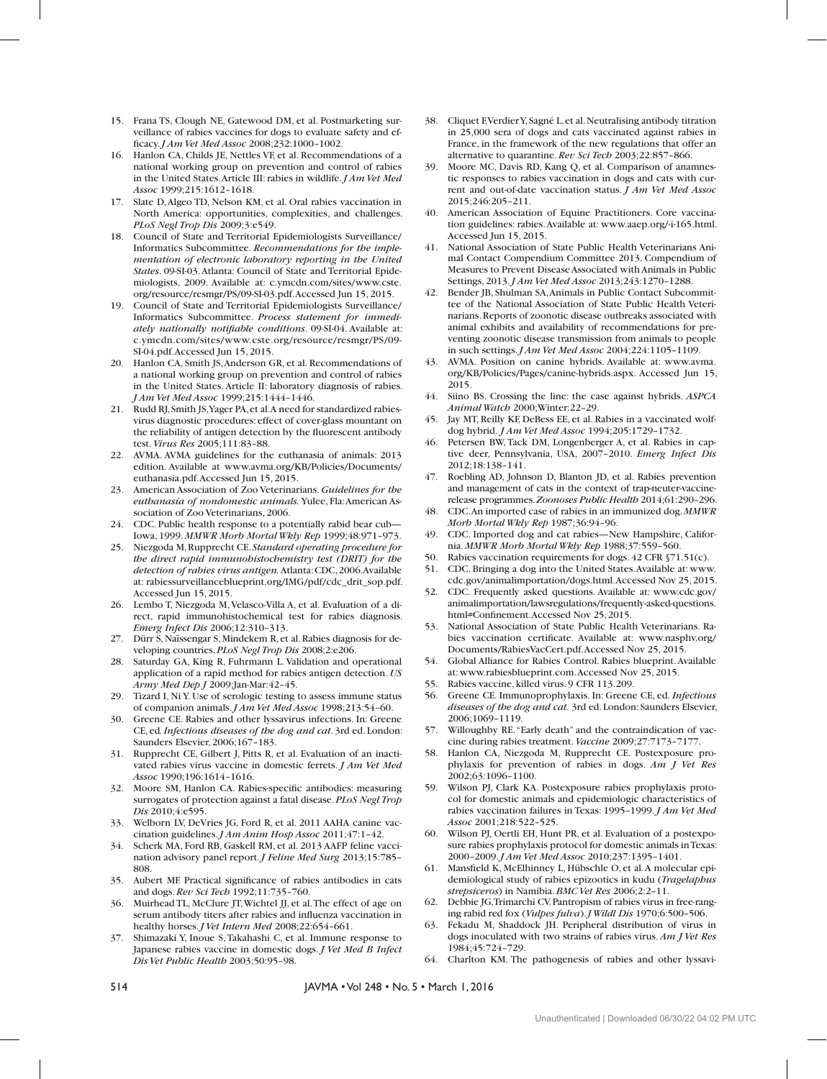- 15. Frana TS, Clough NE, Gatewood DM, et al. Postmarketing surveillance of rabies vaccines for dogs to evaluate safety and efficacy. *J Am Vet Med Assoc* 2008;232:1000–1002.
- 16. Hanlon CA, Childs JE, Nettles VF, et al. Recommendations of a national working group on prevention and control of rabies in the United States. Article III: rabies in wildlife. *J Am Vet Med Assoc* 1999;215:1612–1618.
- 17. Slate D, Algeo TD, Nelson KM, et al. Oral rabies vaccination in North America: opportunities, complexities, and challenges. *PLoS Negl Trop Dis* 2009;3:e549.
- 18. Council of State and Territorial Epidemiologists Surveillance/ Informatics Subcommittee. *Recommendations for the implementation of electronic laboratory reporting in the United States*. 09-SI-03. Atlanta: Council of State and Territorial Epidemiologists, 2009. Available at: c.ymcdn.com/sites/www.cste. org/resource/resmgr/PS/09-SI-03.pdf. Accessed Jun 15, 2015.
- 19. Council of State and Territorial Epidemiologists Surveillance/ Informatics Subcommittee. *Process statement for immediately nationally notifiable conditions*. 09-SI-04. Available at: c.ymcdn.com/sites/www.cste.org/resource/resmgr/PS/09- SI-04.pdf. Accessed Jun 15, 2015.
- 20. Hanlon CA, Smith JS, Anderson GR, et al. Recommendations of a national working group on prevention and control of rabies in the United States. Article II: laboratory diagnosis of rabies. *J Am Vet Med Assoc* 1999;215:1444–1446.
- 21. Rudd RJ, Smith JS, Yager PA, et al. A need for standardized rabiesvirus diagnostic procedures: effect of cover-glass mountant on the reliability of antigen detection by the fluorescent antibody test. *Virus Res* 2005;111:83–88.
- 22. AVMA. AVMA guidelines for the euthanasia of animals: 2013 edition. Available at www.avma.org/KB/Policies/Documents/ euthanasia.pdf. Accessed Jun 15, 2015.
- 23. American Association of Zoo Veterinarians. *Guidelines for the euthanasia of nondomestic animals.* Yulee, Fla: American Association of Zoo Veterinarians, 2006.
- 24. CDC. Public health response to a potentially rabid bear cub— Iowa, 1999. *MMWR Morb Mortal Wkly Rep* 1999;48:971–973.
- 25. Niezgoda M, Rupprecht CE. *Standard operating procedure for the direct rapid immunohistochemistry test (DRIT) for the detection of rabies virus antigen.* Atlanta: CDC, 2006. Available at: rabiessurveillanceblueprint.org/IMG/pdf/cdc\_drit\_sop.pdf. Accessed Jun 15, 2015.
- 26. Lembo T, Niezgoda M, Velasco-Villa A, et al. Evaluation of a direct, rapid immunohistochemical test for rabies diagnosis. *Emerg Infect Dis* 2006;12:310–313.
- 27. Dürr S, Naïssengar S, Mindekem R, et al. Rabies diagnosis for developing countries. *PLoS Negl Trop Dis* 2008;2:e206.
- 28. Saturday GA, King R, Fuhrmann L. Validation and operational application of a rapid method for rabies antigen detection. *US Army Med Dep J* 2009;Jan-Mar:42–45.
- 29. Tizard I, Ni Y. Use of serologic testing to assess immune status of companion animals. *J Am Vet Med Assoc* 1998;213:54–60.
- 30. Greene CE. Rabies and other lyssavirus infections. In: Greene CE, ed*. Infectious diseases of the dog and cat*. 3rd ed. London: Saunders Elsevier, 2006;167–183.
- 31. Rupprecht CE, Gilbert J, Pitts R, et al. Evaluation of an inactivated rabies virus vaccine in domestic ferrets. *J Am Vet Med Assoc* 1990;196:1614–1616.
- 32. Moore SM, Hanlon CA. Rabies-specific antibodies: measuring surrogates of protection against a fatal disease. *PLoS Negl Trop Dis* 2010;4:e595.
- 33. Welborn LV, DeVries JG, Ford R, et al. 2011 AAHA canine vaccination guidelines. *J Am Anim Hosp Assoc* 2011;47:1–42.
- 34. Scherk MA, Ford RB, Gaskell RM, et al. 2013 AAFP feline vaccination advisory panel report. *J Feline Med Surg* 2013;15:785– 808.
- 35. Aubert MF. Practical significance of rabies antibodies in cats and dogs. *Rev Sci Tech* 1992;11:735–760.
- 36. Muirhead TL, McClure JT, Wichtel JJ, et al. The effect of age on serum antibody titers after rabies and influenza vaccination in healthy horses. *J Vet Intern Med* 2008;22:654–661.
- 37. Shimazaki Y, Inoue S, Takahashi C, et al. Immune response to Japanese rabies vaccine in domestic dogs. *J Vet Med B Infect Dis Vet Public Health* 2003;50:95–98.
- 38. Cliquet F, Verdier Y, Sagné L, et al. Neutralising antibody titration in 25,000 sera of dogs and cats vaccinated against rabies in France, in the framework of the new regulations that offer an alternative to quarantine. *Rev Sci Tech* 2003;22:857–866.
- 39. Moore MC, Davis RD, Kang Q, et al. Comparison of anamnestic responses to rabies vaccination in dogs and cats with current and out-of-date vaccination status. *J Am Vet Med Assoc* 2015;246:205–211.
- 40. American Association of Equine Practitioners. Core vaccination guidelines: rabies. Available at: www.aaep.org/-i-165.html. Accessed Jun 15, 2015.
- 41. National Association of State Public Health Veterinarians Animal Contact Compendium Committee 2013. Compendium of Measures to Prevent Disease Associated with Animals in Public Settings, 2013. *J Am Vet Med Assoc* 2013;243:1270–1288.
- 42. Bender JB, Shulman SA, Animals in Public Contact Subcommittee of the National Association of State Public Health Veterinarians. Reports of zoonotic disease outbreaks associated with animal exhibits and availability of recommendations for preventing zoonotic disease transmission from animals to people in such settings. *J Am Vet Med Assoc* 2004;224:1105–1109.
- 43. AVMA. Position on canine hybrids. Available at: www.avma. org/KB/Policies/Pages/canine-hybrids.aspx. Accessed Jun 15, 2015.
- 44. Siino BS. Crossing the line: the case against hybrids. *ASPCA Animal Watch* 2000;Winter:22–29.
- 45. Jay MT, Reilly KF, DeBess EE, et al. Rabies in a vaccinated wolfdog hybrid. *J Am Vet Med Assoc* 1994;205:1729–1732.
- 46. Petersen BW, Tack DM, Longenberger A, et al. Rabies in captive deer, Pennsylvania, USA, 2007–2010. *Emerg Infect Dis* 2012;18:138–141.
- 47. Roebling AD, Johnson D, Blanton JD, et al. Rabies prevention and management of cats in the context of trap-neuter-vaccinerelease programmes. *Zoonoses Public Health* 2014;61:290–296.
- 48. CDC. An imported case of rabies in an immunized dog. *MMWR Morb Mortal Wkly Rep* 1987;36:94–96.
- 49. CDC. Imported dog and cat rabies—New Hampshire, California. *MMWR Morb Mortal Wkly Rep* 1988;37:559–560.
- 50. Rabies vaccination requirements for dogs. 42 CFR §71.51(c).
- 51. CDC. Bringing a dog into the United States. Available at: www. cdc.gov/animalimportation/dogs.html. Accessed Nov 25, 2015.
- 52. CDC. Frequently asked questions. Available at: www.cdc.gov/ animalimportation/lawsregulations/frequently-asked-questions. html#Confinement. Accessed Nov 25, 2015.
- 53. National Association of State Public Health Veterinarians. Rabies vaccination certificate. Available at: www.nasphv.org/ Documents/RabiesVacCert.pdf. Accessed Nov 25, 2015.
- 54. Global Alliance for Rabies Control. Rabies blueprint. Available at: www.rabiesblueprint.com. Accessed Nov 25, 2015.
- 55. Rabies vaccine, killed virus. 9 CFR 113.209.
- 56. Greene CE. Immunoprophylaxis. In: Greene CE, ed. *Infectious diseases of the dog and cat.* 3rd ed. London: Saunders Elsevier, 2006;1069–1119.
- 57. Willoughby RE. "Early death" and the contraindication of vaccine during rabies treatment. *Vaccine* 2009;27:7173–7177.
- 58. Hanlon CA, Niezgoda M, Rupprecht CE. Postexposure prophylaxis for prevention of rabies in dogs. *Am J Vet Res*  2002;63:1096–1100.
- 59. Wilson PJ, Clark KA. Postexposure rabies prophylaxis protocol for domestic animals and epidemiologic characteristics of rabies vaccination failures in Texas: 1995–1999. *J Am Vet Med Assoc* 2001;218:522–525.
- 60. Wilson PJ, Oertli EH, Hunt PR, et al. Evaluation of a postexposure rabies prophylaxis protocol for domestic animals in Texas: 2000–2009. *J Am Vet Med Assoc* 2010;237:1395–1401.
- 61. Mansfield K, McElhinney L, Hübschle O, et al. A molecular epidemiological study of rabies epizootics in kudu (*Tragelaphus strepsiceros*) in Namibia. *BMC Vet Res* 2006;2:2–11.
- 62. Debbie JG, Trimarchi CV. Pantropism of rabies virus in free-ranging rabid red fox (*Vulpes fulva*). *J Wildl Dis* 1970;6:500–506.
- 63. Fekadu M, Shaddock JH. Peripheral distribution of virus in dogs inoculated with two strains of rabies virus. *Am J Vet Res*  1984;45:724–729.
- 64. Charlton KM. The pathogenesis of rabies and other lyssavi-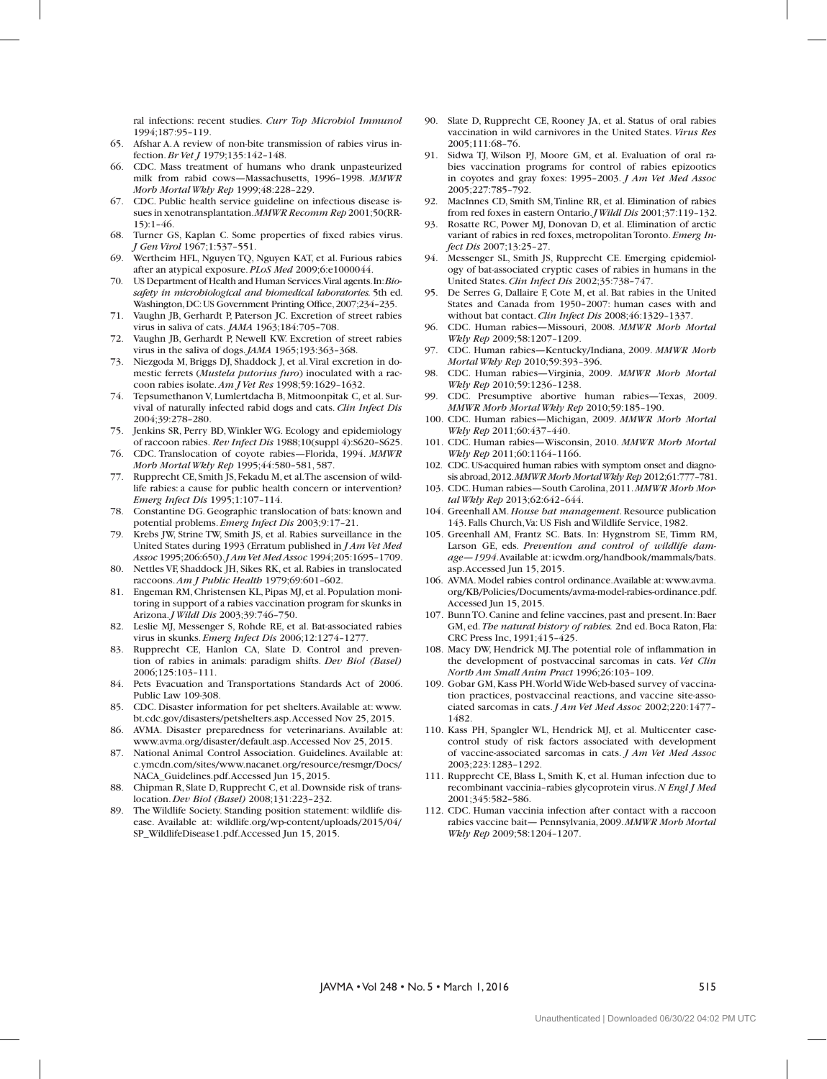ral infections: recent studies. *Curr Top Microbiol Immunol*  1994;187:95–119.

- 65. Afshar A. A review of non-bite transmission of rabies virus infection. *Br Vet J* 1979;135:142–148.
- 66. CDC. Mass treatment of humans who drank unpasteurized milk from rabid cows—Massachusetts, 1996–1998. *MMWR Morb Mortal Wkly Rep* 1999;48:228–229.
- 67. CDC. Public health service guideline on infectious disease issues in xenotransplantation. *MMWR Recomm Rep* 2001;50(RR- $15$ ):  $1-46$
- 68. Turner GS, Kaplan C. Some properties of fixed rabies virus. *J Gen Virol* 1967;1:537–551.
- 69. Wertheim HFL, Nguyen TQ, Nguyen KAT, et al. Furious rabies after an atypical exposure. *PLoS Med* 2009;6:e1000044.
- 70. US Department of Health and Human Services. Viral agents. In: *Biosafety in microbiological and biomedical laboratories.* 5th ed. Washington, DC: US Government Printing Office, 2007;234–235.
- 71. Vaughn JB, Gerhardt P, Paterson JC. Excretion of street rabies virus in saliva of cats. *JAMA* 1963;184:705–708.
- 72. Vaughn JB, Gerhardt P, Newell KW. Excretion of street rabies virus in the saliva of dogs. *JAMA* 1965;193:363–368.
- 73. Niezgoda M, Briggs DJ, Shaddock J, et al. Viral excretion in domestic ferrets (*Mustela putorius furo*) inoculated with a raccoon rabies isolate. *Am J Vet Res* 1998;59:1629–1632.
- 74. Tepsumethanon V, Lumlertdacha B, Mitmoonpitak C, et al. Survival of naturally infected rabid dogs and cats. *Clin Infect Dis*  2004;39:278–280.
- 75. Jenkins SR, Perry BD, Winkler WG. Ecology and epidemiology of raccoon rabies. *Rev Infect Dis* 1988;10(suppl 4):S620–S625.
- 76. CDC. Translocation of coyote rabies—Florida, 1994. *MMWR Morb Mortal Wkly Rep* 1995;44:580–581, 587.
- 77. Rupprecht CE, Smith JS, Fekadu M, et al. The ascension of wildlife rabies: a cause for public health concern or intervention? *Emerg Infect Dis* 1995;1:107–114.
- 78. Constantine DG. Geographic translocation of bats: known and potential problems. *Emerg Infect Dis* 2003;9:17–21.
- 79. Krebs JW, Strine TW, Smith JS, et al. Rabies surveillance in the United States during 1993 (Erratum published in *J Am Vet Med Assoc* 1995;206:650). *J Am Vet Med Assoc* 1994;205:1695–1709.
- 80. Nettles VF, Shaddock JH, Sikes RK, et al. Rabies in translocated raccoons. *Am J Public Health* 1979;69:601–602.
- 81. Engeman RM, Christensen KL, Pipas MJ, et al. Population monitoring in support of a rabies vaccination program for skunks in Arizona. *J Wildl Dis* 2003;39:746–750.
- 82. Leslie MJ, Messenger S, Rohde RE, et al. Bat-associated rabies virus in skunks. *Emerg Infect Dis* 2006;12:1274–1277.
- 83. Rupprecht CE, Hanlon CA, Slate D. Control and prevention of rabies in animals: paradigm shifts. *Dev Biol (Basel)*  2006;125:103–111.
- 84. Pets Evacuation and Transportations Standards Act of 2006. Public Law 109-308.
- 85. CDC. Disaster information for pet shelters. Available at: www. bt.cdc.gov/disasters/petshelters.asp. Accessed Nov 25, 2015.
- 86. AVMA. Disaster preparedness for veterinarians. Available at: www.avma.org/disaster/default.asp. Accessed Nov 25, 2015.
- 87. National Animal Control Association. Guidelines. Available at: c.ymcdn.com/sites/www.nacanet.org/resource/resmgr/Docs/ NACA\_Guidelines.pdf. Accessed Jun 15, 2015.
- 88. Chipman R, Slate D, Rupprecht C, et al. Downside risk of translocation. *Dev Biol (Basel)* 2008;131:223–232.
- 89. The Wildlife Society. Standing position statement: wildlife disease. Available at: wildlife.org/wp-content/uploads/2015/04/ SP\_WildlifeDisease1.pdf. Accessed Jun 15, 2015.
- 90. Slate D, Rupprecht CE, Rooney JA, et al. Status of oral rabies vaccination in wild carnivores in the United States. *Virus Res*  2005;111:68–76.
- 91. Sidwa TJ, Wilson PJ, Moore GM, et al. Evaluation of oral rabies vaccination programs for control of rabies epizootics in coyotes and gray foxes: 1995–2003. *J Am Vet Med Assoc* 2005;227:785–792.
- 92. MacInnes CD, Smith SM, Tinline RR, et al. Elimination of rabies from red foxes in eastern Ontario. *J Wildl Dis* 2001;37:119–132.
- 93. Rosatte RC, Power MJ, Donovan D, et al. Elimination of arctic variant of rabies in red foxes, metropolitan Toronto. *Emerg Infect Dis* 2007;13:25–27.
- 94. Messenger SL, Smith JS, Rupprecht CE. Emerging epidemiology of bat-associated cryptic cases of rabies in humans in the United States. *Clin Infect Dis* 2002;35:738–747.
- 95. De Serres G, Dallaire F, Cote M, et al. Bat rabies in the United States and Canada from 1950–2007: human cases with and without bat contact. *Clin Infect Dis* 2008;46:1329–1337.
- 96. CDC. Human rabies—Missouri, 2008. *MMWR Morb Mortal Wkly Rep* 2009;58:1207–1209.
- 97. CDC. Human rabies—Kentucky/Indiana, 2009. *MMWR Morb Mortal Wkly Rep* 2010;59:393–396.
- 98. CDC. Human rabies—Virginia, 2009. *MMWR Morb Mortal Wkly Rep* 2010;59:1236–1238.
- 99. CDC. Presumptive abortive human rabies—Texas, 2009. *MMWR Morb Mortal Wkly Rep* 2010;59:185–190.
- 100. CDC. Human rabies—Michigan, 2009. *MMWR Morb Mortal Wkly Rep* 2011;60:437–440.
- 101. CDC. Human rabies—Wisconsin, 2010. *MMWR Morb Mortal Wkly Rep* 2011;60:1164–1166.
- 102. CDC. US-acquired human rabies with symptom onset and diagnosis abroad, 2012. *MMWR Morb Mortal Wkly Rep* 2012;61:777–781.
- 103. CDC. Human rabies—South Carolina, 2011. *MMWR Morb Mortal Wkly Rep* 2013;62:642–644.
- 104. Greenhall AM. *House bat management*. Resource publication 143. Falls Church, Va: US Fish and Wildlife Service, 1982.
- 105. Greenhall AM, Frantz SC. Bats. In: Hygnstrom SE, Timm RM, Larson GE, eds. *Prevention and control of wildlife damage—1994*. Available at: icwdm.org/handbook/mammals/bats. asp. Accessed Jun 15, 2015.
- 106. AVMA. Model rabies control ordinance. Available at: www.avma. org/KB/Policies/Documents/avma-model-rabies-ordinance.pdf. Accessed Jun 15, 2015.
- 107. Bunn TO. Canine and feline vaccines, past and present. In: Baer GM, ed. *The natural history of rabies.* 2nd ed. Boca Raton, Fla: CRC Press Inc, 1991;415–425.
- 108. Macy DW, Hendrick MJ. The potential role of inflammation in the development of postvaccinal sarcomas in cats. *Vet Clin North Am Small Anim Pract* 1996;26:103–109.
- 109. Gobar GM, Kass PH. World Wide Web-based survey of vaccination practices, postvaccinal reactions, and vaccine site-associated sarcomas in cats. *J Am Vet Med Assoc* 2002;220:1477– 1482.
- 110. Kass PH, Spangler WL, Hendrick MJ, et al. Multicenter casecontrol study of risk factors associated with development of vaccine-associated sarcomas in cats. *J Am Vet Med Assoc*  2003;223:1283–1292.
- 111. Rupprecht CE, Blass L, Smith K, et al. Human infection due to recombinant vaccinia–rabies glycoprotein virus. *N Engl J Med* 2001;345:582–586.
- 112. CDC. Human vaccinia infection after contact with a raccoon rabies vaccine bait— Pennsylvania, 2009. *MMWR Morb Mortal Wkly Rep* 2009;58:1204–1207.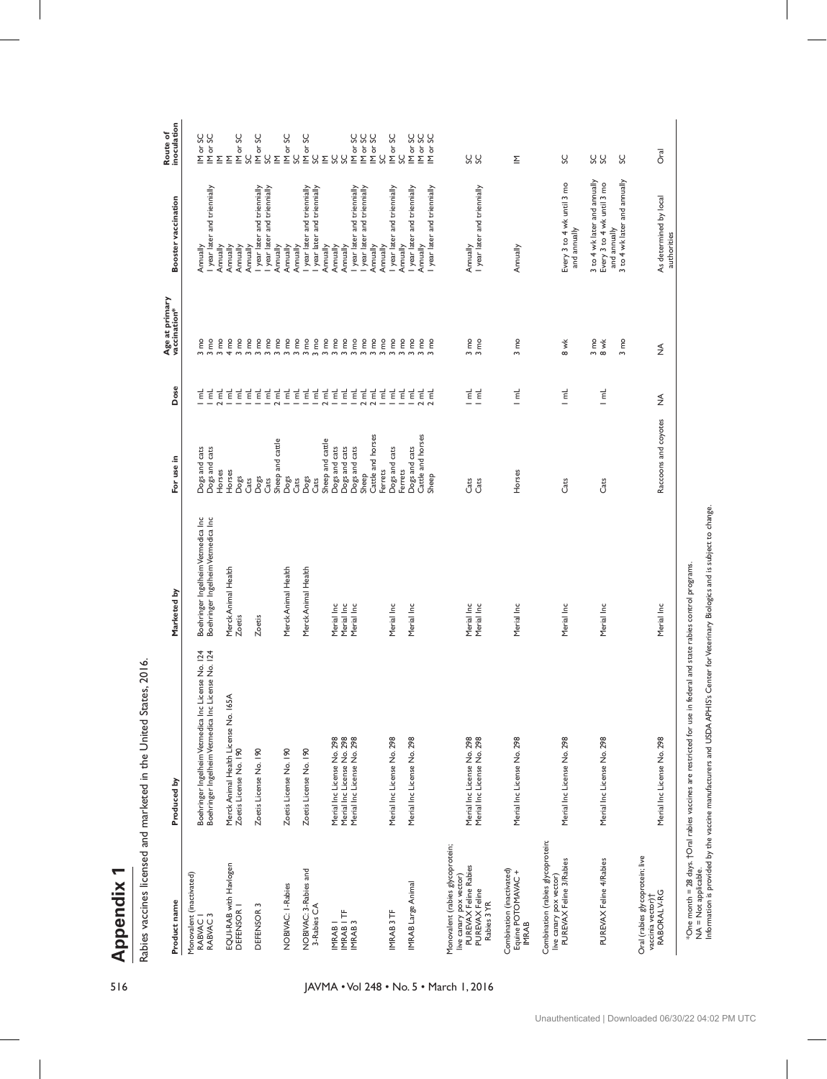**Appendix 1** 

| l                     |
|-----------------------|
|                       |
| ֺ֝<br>֕<br>l          |
| ۱<br>l<br>۱           |
| i<br>l<br>֠           |
| ֕<br>ׇׅ֠              |
|                       |
| í<br>֠                |
| ı<br>ı                |
| ı<br>֠<br>i<br>֠<br>i |
| i<br>֕<br>l           |
| i<br>l                |

| IM or SC<br>IM or SC<br>IM or SC<br>IM or SC<br>M or SC<br>IM or SC<br>IM or SC<br><b>Dral</b><br>Š<br>SC<br>$\overset{\circ}{\mathcal{S}}\subseteq$<br>SS<br>SS<br>SC<br>SC<br>SC<br>S<br>S<br>S<br>SC<br>SS C<br>SC<br>Σ<br>$\Sigma$<br>Σ<br>Σ<br>3 to 4 wk later and annually<br>3 to 4 wk later and annually<br>Every 3 to 4 wk until 3 mo<br>Every 3 to 4 wk until 3 mo<br>I year later and triennially<br>I year later and triennially<br>I year later and triennially<br>I year later and triennially<br>I year later and triennially<br>I year later and triennially<br>I year later and triennially<br>I year later and triennially<br>I year later and triennially<br>I year later and triennially<br>I year later and triennially<br><b>Booster vaccination</b><br>As determined by local<br>and annually<br>and annually<br>Annually<br>Annually<br>Annually<br>Annually<br>Annually<br>Annually<br>Annually<br>Annually<br>Annually<br>Annually<br>Annually<br>Annually<br>Annually<br>Annually<br>Annually<br>Annually<br>Annually<br>Age at primary<br>vaccination*<br>$3 \, \text{mo}$<br>$3 \text{ mo}$<br>$4 \text{ mo}$<br>$3 \text{ mo}$<br>$3 \, \text{mo}$<br>$3 \text{ mo}$<br>$3 \, \text{mo}$<br>$3 \text{ mo}$<br>$3 \, \text{mo}$<br>$3 \text{ mo}$<br>$3 \text{ mo}$<br>$3 \text{ mo}$<br>$3 \text{ mo}$<br>$3 \text{ mo}$<br>$3 \text{ mo}$<br>$3 \text{ mo}$<br>$3 \text{ mo}$<br>$3 \text{ mo}$<br>$3 \text{ mo}$<br>$3 \text{ mo}$<br>$\frac{3}{3}$ mo<br>$3 \text{ mo}$<br>$\begin{array}{c}\n3 \text{ m} \\ 8 \text{ w} \\ \end{array}$<br>$3 \text{ mo}$<br>$3 \text{ mo}$<br>$3 \text{ mo}$<br>$3 \text{ mo}$<br>8 wk<br>$\begin{array}{c}\n 3 \text{ me} \\  3 \text{ me}\n \end{array}$<br>≸<br>Dose<br>$\overline{\epsilon}$<br>$\overline{\epsilon}$<br>$\vec{E}$<br>$\overline{\epsilon}$<br>$\overline{\epsilon}$<br>$\vec{E}$<br>$2$ mL<br>$\overline{\epsilon}$<br>$2 \text{ mL}$<br>뉱<br>닡<br>$\vec{E}$<br>2 <sub>ml</sub><br>$\vec{E}$<br>$\overline{a}$<br>2 ml<br>2 ml<br>$\vec{\epsilon}$<br>귙<br>ا<br>آ<br>귙<br>귙<br>로 로<br>- -<br>로<br>-<br>直<br>-<br>르<br>귙<br>2 mL<br>$2 \text{ mL}$<br>≸<br>Raccoons and coyotes<br>Cattle and horses<br>Cattle and horses<br>Sheep and cattle<br>Sheep and cattle<br>Dogs and cats<br>Dogs and cats<br>Dogs and cats<br>Dogs and cats<br>Dogs and cats<br>Dogs and cats<br>Dogs and cats<br>For use in<br>Horses<br>Horses<br>Ferrets<br>Horses<br>Ferrets<br>Sheep<br>Sheep<br>Dogs<br>Dogs<br>Dogs<br>Dogs<br>Cats<br>Cats<br>Cats<br>Cats<br>Cats<br>Cats<br>Cats<br>Cats<br>Boehringer Ingelheim Vetmedica Inc<br>Boehringer Ingelheim Vetmedica Inc<br>Merck Animal Health<br>Merck Animal Health<br>Merck Animal Health<br>Marketed by<br>Merial Inc<br>Merial Inc<br>Merial Inc<br>Merial Inc<br>Merial Inc<br>Merial Inc<br>Merial Inc<br>Merial Inc<br>Merial Inc<br>Merial Inc<br>Merial Inc<br>Zoetis<br>Zoetis<br>Boehringer Ingelheim Vetmedica Inc License No. 124<br>Boehringer Ingelheim Vetmedica Inc License No. 124<br>Merck Animal Health License No. 165A<br>Merial Inc License No. 298<br>Merial Inc License No. 298<br>Merial Inc License No. 298<br>Merial Inc License No. 298<br>Merial Inc License No. 298<br>Merial Inc License No. 298<br>Merial Inc License No. 298<br>Merial Inc License No. 298<br>Merial Inc License No. 298<br>Merial Inc License No. 298<br>Merial Inc License No. 298<br>Zoetis License No. 190<br>Zoetis License No. 190<br>Zoetis License No. 190<br>Zoetis License No. 190<br>Produced by<br>Combination (rabies glycoprotein;<br>Monovalent (rabies glycoprotein;<br>Oral (rabies glycoprotein; live<br>live canary pox vector)<br>PUREVAX Feline 3/Rabies<br>PUREVAX Feline 4/Rabies<br>EQUI-RAB with Havlogen<br>live canary pox vector)<br>PUREVAX Feline Rabies<br>Combination (inactivated)<br>NOBIVAC: 3-Rabies and<br>Equine POTOMAVAC +<br>Monovalent (inactivated)<br>IMRAB Large Animal<br>NOBIVAC: I-Rabies<br>PUREVAX Feline<br>vaccinia vector)†<br>RABORAL V-RG<br>Product name<br>Rabies 3YR<br>DEFENSOR I<br>DEFENSOR <sub>3</sub><br>3-Rabies CA<br>IMRAB ITF<br>IMRAB 3<br>IMRAB 3TF<br>RABVAC <sub>3</sub><br>RABVAC I<br><b>IMRAB</b><br>IMRAB | Appendix | 2016.<br>Rabies vaccines licensed and marketed in the United States, |  |  |             |                         |
|------------------------------------------------------------------------------------------------------------------------------------------------------------------------------------------------------------------------------------------------------------------------------------------------------------------------------------------------------------------------------------------------------------------------------------------------------------------------------------------------------------------------------------------------------------------------------------------------------------------------------------------------------------------------------------------------------------------------------------------------------------------------------------------------------------------------------------------------------------------------------------------------------------------------------------------------------------------------------------------------------------------------------------------------------------------------------------------------------------------------------------------------------------------------------------------------------------------------------------------------------------------------------------------------------------------------------------------------------------------------------------------------------------------------------------------------------------------------------------------------------------------------------------------------------------------------------------------------------------------------------------------------------------------------------------------------------------------------------------------------------------------------------------------------------------------------------------------------------------------------------------------------------------------------------------------------------------------------------------------------------------------------------------------------------------------------------------------------------------------------------------------------------------------------------------------------------------------------------------------------------------------------------------------------------------------------------------------------------------------------------------------------------------------------------------------------------------------------------------------------------------------------------------------------------------------------------------------------------------------------------------------------------------------------------------------------------------------------------------------------------------------------------------------------------------------------------------------------------------------------------------------------------------------------------------------------------------------------------------------------------------------------------------------------------------------------------------------------------------------------------------------------------------------------------------------------------------------------------------------------------------------------------------------------------------------------------------------------------------------------------------------------------------------------------------------------------------------------------------------------------------------------------------------------------------------------------------------------------------------------------------------------------------------------------------------------------------------------------------------------------------------------------------------------------------------------------------------------------------------------------------------------------------------------------------------------------------------------------------------------------------------------------------------------------------------------------------------------------------------------------------------------------------------------------------------------------------------|----------|----------------------------------------------------------------------|--|--|-------------|-------------------------|
|                                                                                                                                                                                                                                                                                                                                                                                                                                                                                                                                                                                                                                                                                                                                                                                                                                                                                                                                                                                                                                                                                                                                                                                                                                                                                                                                                                                                                                                                                                                                                                                                                                                                                                                                                                                                                                                                                                                                                                                                                                                                                                                                                                                                                                                                                                                                                                                                                                                                                                                                                                                                                                                                                                                                                                                                                                                                                                                                                                                                                                                                                                                                                                                                                                                                                                                                                                                                                                                                                                                                                                                                                                                                                                                                                                                                                                                                                                                                                                                                                                                                                                                                                                                                                  |          |                                                                      |  |  |             | inoculation<br>Route of |
|                                                                                                                                                                                                                                                                                                                                                                                                                                                                                                                                                                                                                                                                                                                                                                                                                                                                                                                                                                                                                                                                                                                                                                                                                                                                                                                                                                                                                                                                                                                                                                                                                                                                                                                                                                                                                                                                                                                                                                                                                                                                                                                                                                                                                                                                                                                                                                                                                                                                                                                                                                                                                                                                                                                                                                                                                                                                                                                                                                                                                                                                                                                                                                                                                                                                                                                                                                                                                                                                                                                                                                                                                                                                                                                                                                                                                                                                                                                                                                                                                                                                                                                                                                                                                  |          |                                                                      |  |  |             | Mor <sub>SC</sub>       |
|                                                                                                                                                                                                                                                                                                                                                                                                                                                                                                                                                                                                                                                                                                                                                                                                                                                                                                                                                                                                                                                                                                                                                                                                                                                                                                                                                                                                                                                                                                                                                                                                                                                                                                                                                                                                                                                                                                                                                                                                                                                                                                                                                                                                                                                                                                                                                                                                                                                                                                                                                                                                                                                                                                                                                                                                                                                                                                                                                                                                                                                                                                                                                                                                                                                                                                                                                                                                                                                                                                                                                                                                                                                                                                                                                                                                                                                                                                                                                                                                                                                                                                                                                                                                                  |          |                                                                      |  |  |             |                         |
|                                                                                                                                                                                                                                                                                                                                                                                                                                                                                                                                                                                                                                                                                                                                                                                                                                                                                                                                                                                                                                                                                                                                                                                                                                                                                                                                                                                                                                                                                                                                                                                                                                                                                                                                                                                                                                                                                                                                                                                                                                                                                                                                                                                                                                                                                                                                                                                                                                                                                                                                                                                                                                                                                                                                                                                                                                                                                                                                                                                                                                                                                                                                                                                                                                                                                                                                                                                                                                                                                                                                                                                                                                                                                                                                                                                                                                                                                                                                                                                                                                                                                                                                                                                                                  |          |                                                                      |  |  |             | IM or SC                |
|                                                                                                                                                                                                                                                                                                                                                                                                                                                                                                                                                                                                                                                                                                                                                                                                                                                                                                                                                                                                                                                                                                                                                                                                                                                                                                                                                                                                                                                                                                                                                                                                                                                                                                                                                                                                                                                                                                                                                                                                                                                                                                                                                                                                                                                                                                                                                                                                                                                                                                                                                                                                                                                                                                                                                                                                                                                                                                                                                                                                                                                                                                                                                                                                                                                                                                                                                                                                                                                                                                                                                                                                                                                                                                                                                                                                                                                                                                                                                                                                                                                                                                                                                                                                                  |          |                                                                      |  |  |             | IM or SC                |
| JAVMA . Vol 248 . No. 5 . March 1, 2016                                                                                                                                                                                                                                                                                                                                                                                                                                                                                                                                                                                                                                                                                                                                                                                                                                                                                                                                                                                                                                                                                                                                                                                                                                                                                                                                                                                                                                                                                                                                                                                                                                                                                                                                                                                                                                                                                                                                                                                                                                                                                                                                                                                                                                                                                                                                                                                                                                                                                                                                                                                                                                                                                                                                                                                                                                                                                                                                                                                                                                                                                                                                                                                                                                                                                                                                                                                                                                                                                                                                                                                                                                                                                                                                                                                                                                                                                                                                                                                                                                                                                                                                                                          |          |                                                                      |  |  |             |                         |
|                                                                                                                                                                                                                                                                                                                                                                                                                                                                                                                                                                                                                                                                                                                                                                                                                                                                                                                                                                                                                                                                                                                                                                                                                                                                                                                                                                                                                                                                                                                                                                                                                                                                                                                                                                                                                                                                                                                                                                                                                                                                                                                                                                                                                                                                                                                                                                                                                                                                                                                                                                                                                                                                                                                                                                                                                                                                                                                                                                                                                                                                                                                                                                                                                                                                                                                                                                                                                                                                                                                                                                                                                                                                                                                                                                                                                                                                                                                                                                                                                                                                                                                                                                                                                  |          |                                                                      |  |  |             | IM or SC                |
|                                                                                                                                                                                                                                                                                                                                                                                                                                                                                                                                                                                                                                                                                                                                                                                                                                                                                                                                                                                                                                                                                                                                                                                                                                                                                                                                                                                                                                                                                                                                                                                                                                                                                                                                                                                                                                                                                                                                                                                                                                                                                                                                                                                                                                                                                                                                                                                                                                                                                                                                                                                                                                                                                                                                                                                                                                                                                                                                                                                                                                                                                                                                                                                                                                                                                                                                                                                                                                                                                                                                                                                                                                                                                                                                                                                                                                                                                                                                                                                                                                                                                                                                                                                                                  |          |                                                                      |  |  |             | IM or SC                |
|                                                                                                                                                                                                                                                                                                                                                                                                                                                                                                                                                                                                                                                                                                                                                                                                                                                                                                                                                                                                                                                                                                                                                                                                                                                                                                                                                                                                                                                                                                                                                                                                                                                                                                                                                                                                                                                                                                                                                                                                                                                                                                                                                                                                                                                                                                                                                                                                                                                                                                                                                                                                                                                                                                                                                                                                                                                                                                                                                                                                                                                                                                                                                                                                                                                                                                                                                                                                                                                                                                                                                                                                                                                                                                                                                                                                                                                                                                                                                                                                                                                                                                                                                                                                                  |          |                                                                      |  |  |             |                         |
|                                                                                                                                                                                                                                                                                                                                                                                                                                                                                                                                                                                                                                                                                                                                                                                                                                                                                                                                                                                                                                                                                                                                                                                                                                                                                                                                                                                                                                                                                                                                                                                                                                                                                                                                                                                                                                                                                                                                                                                                                                                                                                                                                                                                                                                                                                                                                                                                                                                                                                                                                                                                                                                                                                                                                                                                                                                                                                                                                                                                                                                                                                                                                                                                                                                                                                                                                                                                                                                                                                                                                                                                                                                                                                                                                                                                                                                                                                                                                                                                                                                                                                                                                                                                                  |          |                                                                      |  |  |             |                         |
|                                                                                                                                                                                                                                                                                                                                                                                                                                                                                                                                                                                                                                                                                                                                                                                                                                                                                                                                                                                                                                                                                                                                                                                                                                                                                                                                                                                                                                                                                                                                                                                                                                                                                                                                                                                                                                                                                                                                                                                                                                                                                                                                                                                                                                                                                                                                                                                                                                                                                                                                                                                                                                                                                                                                                                                                                                                                                                                                                                                                                                                                                                                                                                                                                                                                                                                                                                                                                                                                                                                                                                                                                                                                                                                                                                                                                                                                                                                                                                                                                                                                                                                                                                                                                  |          |                                                                      |  |  |             |                         |
|                                                                                                                                                                                                                                                                                                                                                                                                                                                                                                                                                                                                                                                                                                                                                                                                                                                                                                                                                                                                                                                                                                                                                                                                                                                                                                                                                                                                                                                                                                                                                                                                                                                                                                                                                                                                                                                                                                                                                                                                                                                                                                                                                                                                                                                                                                                                                                                                                                                                                                                                                                                                                                                                                                                                                                                                                                                                                                                                                                                                                                                                                                                                                                                                                                                                                                                                                                                                                                                                                                                                                                                                                                                                                                                                                                                                                                                                                                                                                                                                                                                                                                                                                                                                                  |          |                                                                      |  |  |             |                         |
|                                                                                                                                                                                                                                                                                                                                                                                                                                                                                                                                                                                                                                                                                                                                                                                                                                                                                                                                                                                                                                                                                                                                                                                                                                                                                                                                                                                                                                                                                                                                                                                                                                                                                                                                                                                                                                                                                                                                                                                                                                                                                                                                                                                                                                                                                                                                                                                                                                                                                                                                                                                                                                                                                                                                                                                                                                                                                                                                                                                                                                                                                                                                                                                                                                                                                                                                                                                                                                                                                                                                                                                                                                                                                                                                                                                                                                                                                                                                                                                                                                                                                                                                                                                                                  |          |                                                                      |  |  |             | IM or SC                |
|                                                                                                                                                                                                                                                                                                                                                                                                                                                                                                                                                                                                                                                                                                                                                                                                                                                                                                                                                                                                                                                                                                                                                                                                                                                                                                                                                                                                                                                                                                                                                                                                                                                                                                                                                                                                                                                                                                                                                                                                                                                                                                                                                                                                                                                                                                                                                                                                                                                                                                                                                                                                                                                                                                                                                                                                                                                                                                                                                                                                                                                                                                                                                                                                                                                                                                                                                                                                                                                                                                                                                                                                                                                                                                                                                                                                                                                                                                                                                                                                                                                                                                                                                                                                                  |          |                                                                      |  |  |             |                         |
|                                                                                                                                                                                                                                                                                                                                                                                                                                                                                                                                                                                                                                                                                                                                                                                                                                                                                                                                                                                                                                                                                                                                                                                                                                                                                                                                                                                                                                                                                                                                                                                                                                                                                                                                                                                                                                                                                                                                                                                                                                                                                                                                                                                                                                                                                                                                                                                                                                                                                                                                                                                                                                                                                                                                                                                                                                                                                                                                                                                                                                                                                                                                                                                                                                                                                                                                                                                                                                                                                                                                                                                                                                                                                                                                                                                                                                                                                                                                                                                                                                                                                                                                                                                                                  |          |                                                                      |  |  |             |                         |
|                                                                                                                                                                                                                                                                                                                                                                                                                                                                                                                                                                                                                                                                                                                                                                                                                                                                                                                                                                                                                                                                                                                                                                                                                                                                                                                                                                                                                                                                                                                                                                                                                                                                                                                                                                                                                                                                                                                                                                                                                                                                                                                                                                                                                                                                                                                                                                                                                                                                                                                                                                                                                                                                                                                                                                                                                                                                                                                                                                                                                                                                                                                                                                                                                                                                                                                                                                                                                                                                                                                                                                                                                                                                                                                                                                                                                                                                                                                                                                                                                                                                                                                                                                                                                  |          |                                                                      |  |  |             |                         |
|                                                                                                                                                                                                                                                                                                                                                                                                                                                                                                                                                                                                                                                                                                                                                                                                                                                                                                                                                                                                                                                                                                                                                                                                                                                                                                                                                                                                                                                                                                                                                                                                                                                                                                                                                                                                                                                                                                                                                                                                                                                                                                                                                                                                                                                                                                                                                                                                                                                                                                                                                                                                                                                                                                                                                                                                                                                                                                                                                                                                                                                                                                                                                                                                                                                                                                                                                                                                                                                                                                                                                                                                                                                                                                                                                                                                                                                                                                                                                                                                                                                                                                                                                                                                                  |          |                                                                      |  |  |             |                         |
|                                                                                                                                                                                                                                                                                                                                                                                                                                                                                                                                                                                                                                                                                                                                                                                                                                                                                                                                                                                                                                                                                                                                                                                                                                                                                                                                                                                                                                                                                                                                                                                                                                                                                                                                                                                                                                                                                                                                                                                                                                                                                                                                                                                                                                                                                                                                                                                                                                                                                                                                                                                                                                                                                                                                                                                                                                                                                                                                                                                                                                                                                                                                                                                                                                                                                                                                                                                                                                                                                                                                                                                                                                                                                                                                                                                                                                                                                                                                                                                                                                                                                                                                                                                                                  |          |                                                                      |  |  |             |                         |
|                                                                                                                                                                                                                                                                                                                                                                                                                                                                                                                                                                                                                                                                                                                                                                                                                                                                                                                                                                                                                                                                                                                                                                                                                                                                                                                                                                                                                                                                                                                                                                                                                                                                                                                                                                                                                                                                                                                                                                                                                                                                                                                                                                                                                                                                                                                                                                                                                                                                                                                                                                                                                                                                                                                                                                                                                                                                                                                                                                                                                                                                                                                                                                                                                                                                                                                                                                                                                                                                                                                                                                                                                                                                                                                                                                                                                                                                                                                                                                                                                                                                                                                                                                                                                  |          |                                                                      |  |  |             |                         |
|                                                                                                                                                                                                                                                                                                                                                                                                                                                                                                                                                                                                                                                                                                                                                                                                                                                                                                                                                                                                                                                                                                                                                                                                                                                                                                                                                                                                                                                                                                                                                                                                                                                                                                                                                                                                                                                                                                                                                                                                                                                                                                                                                                                                                                                                                                                                                                                                                                                                                                                                                                                                                                                                                                                                                                                                                                                                                                                                                                                                                                                                                                                                                                                                                                                                                                                                                                                                                                                                                                                                                                                                                                                                                                                                                                                                                                                                                                                                                                                                                                                                                                                                                                                                                  |          |                                                                      |  |  |             |                         |
|                                                                                                                                                                                                                                                                                                                                                                                                                                                                                                                                                                                                                                                                                                                                                                                                                                                                                                                                                                                                                                                                                                                                                                                                                                                                                                                                                                                                                                                                                                                                                                                                                                                                                                                                                                                                                                                                                                                                                                                                                                                                                                                                                                                                                                                                                                                                                                                                                                                                                                                                                                                                                                                                                                                                                                                                                                                                                                                                                                                                                                                                                                                                                                                                                                                                                                                                                                                                                                                                                                                                                                                                                                                                                                                                                                                                                                                                                                                                                                                                                                                                                                                                                                                                                  |          |                                                                      |  |  |             |                         |
|                                                                                                                                                                                                                                                                                                                                                                                                                                                                                                                                                                                                                                                                                                                                                                                                                                                                                                                                                                                                                                                                                                                                                                                                                                                                                                                                                                                                                                                                                                                                                                                                                                                                                                                                                                                                                                                                                                                                                                                                                                                                                                                                                                                                                                                                                                                                                                                                                                                                                                                                                                                                                                                                                                                                                                                                                                                                                                                                                                                                                                                                                                                                                                                                                                                                                                                                                                                                                                                                                                                                                                                                                                                                                                                                                                                                                                                                                                                                                                                                                                                                                                                                                                                                                  |          |                                                                      |  |  |             |                         |
|                                                                                                                                                                                                                                                                                                                                                                                                                                                                                                                                                                                                                                                                                                                                                                                                                                                                                                                                                                                                                                                                                                                                                                                                                                                                                                                                                                                                                                                                                                                                                                                                                                                                                                                                                                                                                                                                                                                                                                                                                                                                                                                                                                                                                                                                                                                                                                                                                                                                                                                                                                                                                                                                                                                                                                                                                                                                                                                                                                                                                                                                                                                                                                                                                                                                                                                                                                                                                                                                                                                                                                                                                                                                                                                                                                                                                                                                                                                                                                                                                                                                                                                                                                                                                  |          |                                                                      |  |  |             |                         |
|                                                                                                                                                                                                                                                                                                                                                                                                                                                                                                                                                                                                                                                                                                                                                                                                                                                                                                                                                                                                                                                                                                                                                                                                                                                                                                                                                                                                                                                                                                                                                                                                                                                                                                                                                                                                                                                                                                                                                                                                                                                                                                                                                                                                                                                                                                                                                                                                                                                                                                                                                                                                                                                                                                                                                                                                                                                                                                                                                                                                                                                                                                                                                                                                                                                                                                                                                                                                                                                                                                                                                                                                                                                                                                                                                                                                                                                                                                                                                                                                                                                                                                                                                                                                                  |          |                                                                      |  |  |             |                         |
|                                                                                                                                                                                                                                                                                                                                                                                                                                                                                                                                                                                                                                                                                                                                                                                                                                                                                                                                                                                                                                                                                                                                                                                                                                                                                                                                                                                                                                                                                                                                                                                                                                                                                                                                                                                                                                                                                                                                                                                                                                                                                                                                                                                                                                                                                                                                                                                                                                                                                                                                                                                                                                                                                                                                                                                                                                                                                                                                                                                                                                                                                                                                                                                                                                                                                                                                                                                                                                                                                                                                                                                                                                                                                                                                                                                                                                                                                                                                                                                                                                                                                                                                                                                                                  |          |                                                                      |  |  |             |                         |
|                                                                                                                                                                                                                                                                                                                                                                                                                                                                                                                                                                                                                                                                                                                                                                                                                                                                                                                                                                                                                                                                                                                                                                                                                                                                                                                                                                                                                                                                                                                                                                                                                                                                                                                                                                                                                                                                                                                                                                                                                                                                                                                                                                                                                                                                                                                                                                                                                                                                                                                                                                                                                                                                                                                                                                                                                                                                                                                                                                                                                                                                                                                                                                                                                                                                                                                                                                                                                                                                                                                                                                                                                                                                                                                                                                                                                                                                                                                                                                                                                                                                                                                                                                                                                  |          |                                                                      |  |  |             |                         |
|                                                                                                                                                                                                                                                                                                                                                                                                                                                                                                                                                                                                                                                                                                                                                                                                                                                                                                                                                                                                                                                                                                                                                                                                                                                                                                                                                                                                                                                                                                                                                                                                                                                                                                                                                                                                                                                                                                                                                                                                                                                                                                                                                                                                                                                                                                                                                                                                                                                                                                                                                                                                                                                                                                                                                                                                                                                                                                                                                                                                                                                                                                                                                                                                                                                                                                                                                                                                                                                                                                                                                                                                                                                                                                                                                                                                                                                                                                                                                                                                                                                                                                                                                                                                                  |          |                                                                      |  |  |             |                         |
|                                                                                                                                                                                                                                                                                                                                                                                                                                                                                                                                                                                                                                                                                                                                                                                                                                                                                                                                                                                                                                                                                                                                                                                                                                                                                                                                                                                                                                                                                                                                                                                                                                                                                                                                                                                                                                                                                                                                                                                                                                                                                                                                                                                                                                                                                                                                                                                                                                                                                                                                                                                                                                                                                                                                                                                                                                                                                                                                                                                                                                                                                                                                                                                                                                                                                                                                                                                                                                                                                                                                                                                                                                                                                                                                                                                                                                                                                                                                                                                                                                                                                                                                                                                                                  |          |                                                                      |  |  | authorities |                         |

\*One month = 28 days.†Oral rabies vaccines are restricted for use in federal and state rabies control programs.<br>NA = Not applicable.<br>Information is provided by the vaccine manufacturers and USDAAPHIS's Center for Veterinar \*One month = 28 days. †Oral rabies vaccines are restricted for use in federal and state rabies control programs. NA = Not applicable.